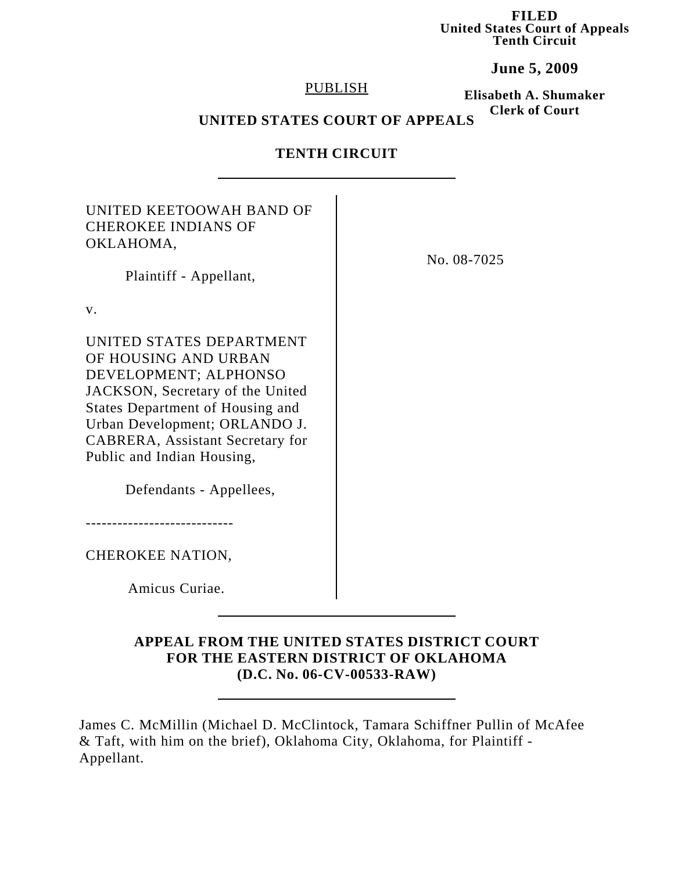**FILED United States Court of Appeals Tenth Circuit**

**June 5, 2009**

### PUBLISH

**Elisabeth A. Shumaker Clerk of Court**

# **UNITED STATES COURT OF APPEALS**

# **TENTH CIRCUIT**

| UNITED KEETOOWAH BAND OF<br><b>CHEROKEE INDIANS OF</b><br>OKLAHOMA,<br>Plaintiff - Appellant,                                                                                                                                                                                                 | No. 08-7025 |
|-----------------------------------------------------------------------------------------------------------------------------------------------------------------------------------------------------------------------------------------------------------------------------------------------|-------------|
| V.                                                                                                                                                                                                                                                                                            |             |
| UNITED STATES DEPARTMENT<br>OF HOUSING AND URBAN<br>DEVELOPMENT; ALPHONSO<br>JACKSON, Secretary of the United<br><b>States Department of Housing and</b><br>Urban Development; ORLANDO J.<br><b>CABRERA, Assistant Secretary for</b><br>Public and Indian Housing,<br>Defendants - Appellees, |             |
| CHEROKEE NATION,                                                                                                                                                                                                                                                                              |             |
| Amicus Curiae.                                                                                                                                                                                                                                                                                |             |
|                                                                                                                                                                                                                                                                                               |             |

## **APPEAL FROM THE UNITED STATES DISTRICT COURT FOR THE EASTERN DISTRICT OF OKLAHOMA (D.C. No. 06-CV-00533-RAW)**

James C. McMillin (Michael D. McClintock, Tamara Schiffner Pullin of McAfee & Taft, with him on the brief), Oklahoma City, Oklahoma, for Plaintiff - Appellant.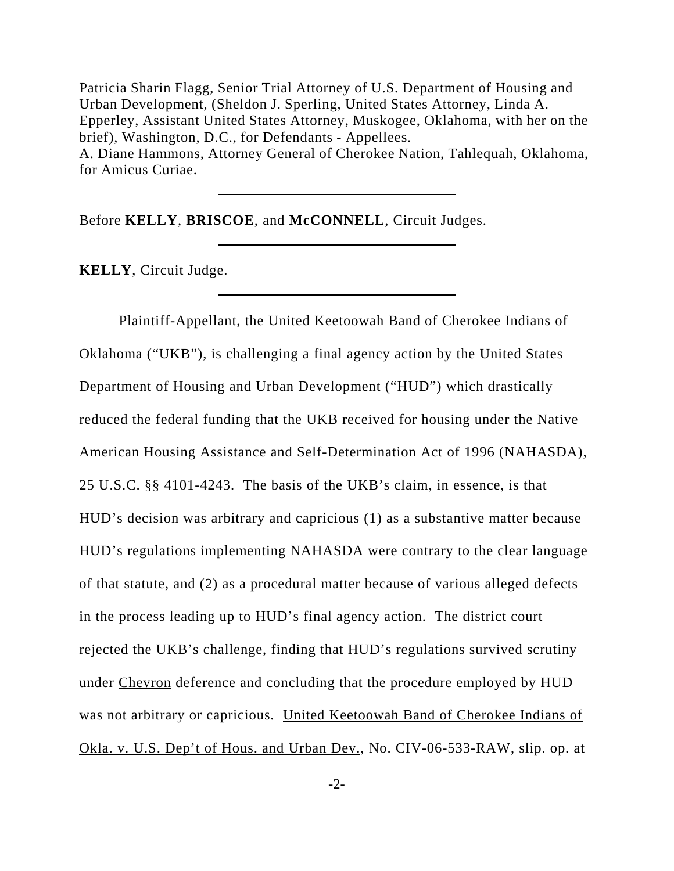Patricia Sharin Flagg, Senior Trial Attorney of U.S. Department of Housing and Urban Development, (Sheldon J. Sperling, United States Attorney, Linda A. Epperley, Assistant United States Attorney, Muskogee, Oklahoma, with her on the brief), Washington, D.C., for Defendants - Appellees. A. Diane Hammons, Attorney General of Cherokee Nation, Tahlequah, Oklahoma, for Amicus Curiae.

Before **KELLY**, **BRISCOE**, and **McCONNELL**, Circuit Judges.

**KELLY**, Circuit Judge.

Plaintiff-Appellant, the United Keetoowah Band of Cherokee Indians of Oklahoma ("UKB"), is challenging a final agency action by the United States Department of Housing and Urban Development ("HUD") which drastically reduced the federal funding that the UKB received for housing under the Native American Housing Assistance and Self-Determination Act of 1996 (NAHASDA), 25 U.S.C. §§ 4101-4243. The basis of the UKB's claim, in essence, is that HUD's decision was arbitrary and capricious (1) as a substantive matter because HUD's regulations implementing NAHASDA were contrary to the clear language of that statute, and (2) as a procedural matter because of various alleged defects in the process leading up to HUD's final agency action. The district court rejected the UKB's challenge, finding that HUD's regulations survived scrutiny under Chevron deference and concluding that the procedure employed by HUD was not arbitrary or capricious. United Keetoowah Band of Cherokee Indians of Okla. v. U.S. Dep't of Hous. and Urban Dev., No. CIV-06-533-RAW, slip. op. at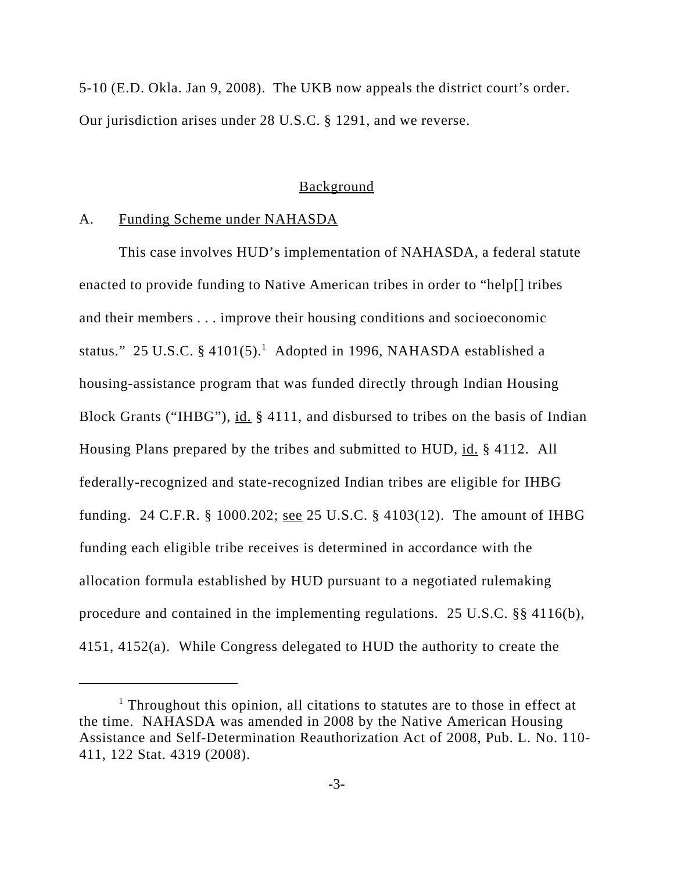5-10 (E.D. Okla. Jan 9, 2008). The UKB now appeals the district court's order. Our jurisdiction arises under 28 U.S.C. § 1291, and we reverse.

### **Background**

### A. Funding Scheme under NAHASDA

This case involves HUD's implementation of NAHASDA, a federal statute enacted to provide funding to Native American tribes in order to "help[] tribes and their members . . . improve their housing conditions and socioeconomic status." 25 U.S.C. § 4101(5).<sup>1</sup> Adopted in 1996, NAHASDA established a housing-assistance program that was funded directly through Indian Housing Block Grants ("IHBG"), id. § 4111, and disbursed to tribes on the basis of Indian Housing Plans prepared by the tribes and submitted to HUD, id. § 4112. All federally-recognized and state-recognized Indian tribes are eligible for IHBG funding. 24 C.F.R. § 1000.202; <u>see</u> 25 U.S.C. § 4103(12). The amount of IHBG funding each eligible tribe receives is determined in accordance with the allocation formula established by HUD pursuant to a negotiated rulemaking procedure and contained in the implementing regulations. 25 U.S.C. §§ 4116(b), 4151, 4152(a). While Congress delegated to HUD the authority to create the

<sup>&</sup>lt;sup>1</sup> Throughout this opinion, all citations to statutes are to those in effect at the time. NAHASDA was amended in 2008 by the Native American Housing Assistance and Self-Determination Reauthorization Act of 2008, Pub. L. No. 110- 411, 122 Stat. 4319 (2008).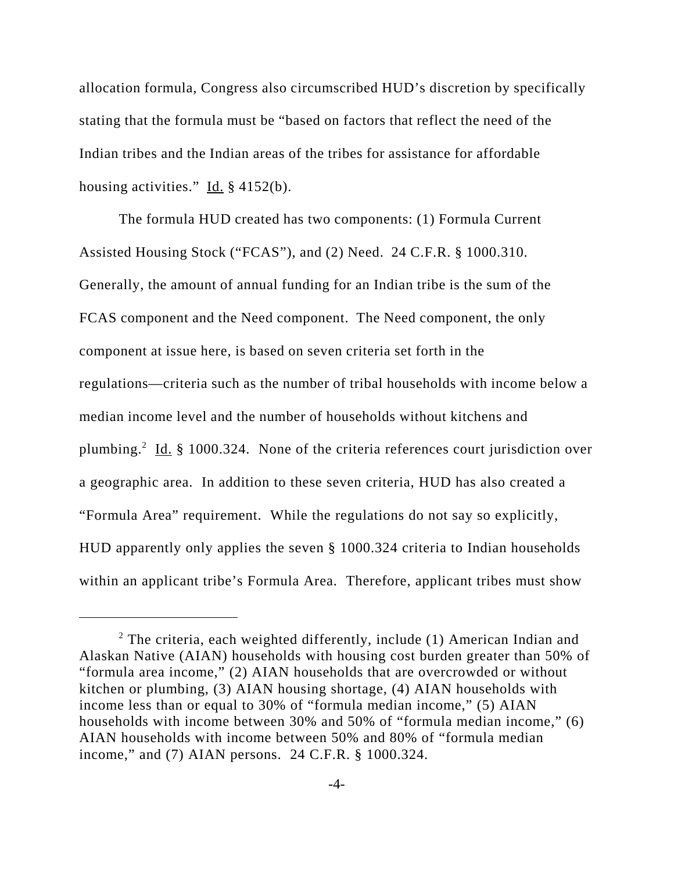allocation formula, Congress also circumscribed HUD's discretion by specifically stating that the formula must be "based on factors that reflect the need of the Indian tribes and the Indian areas of the tribes for assistance for affordable housing activities."  $\underline{Id}$ . § 4152(b).

The formula HUD created has two components: (1) Formula Current Assisted Housing Stock ("FCAS"), and (2) Need. 24 C.F.R. § 1000.310. Generally, the amount of annual funding for an Indian tribe is the sum of the FCAS component and the Need component. The Need component, the only component at issue here, is based on seven criteria set forth in the regulations—criteria such as the number of tribal households with income below a median income level and the number of households without kitchens and plumbing.<sup>2</sup> Id. § 1000.324. None of the criteria references court jurisdiction over a geographic area. In addition to these seven criteria, HUD has also created a "Formula Area" requirement. While the regulations do not say so explicitly, HUD apparently only applies the seven § 1000.324 criteria to Indian households within an applicant tribe's Formula Area. Therefore, applicant tribes must show

<sup>&</sup>lt;sup>2</sup> The criteria, each weighted differently, include (1) American Indian and Alaskan Native (AIAN) households with housing cost burden greater than 50% of "formula area income," (2) AIAN households that are overcrowded or without kitchen or plumbing, (3) AIAN housing shortage, (4) AIAN households with income less than or equal to 30% of "formula median income," (5) AIAN households with income between 30% and 50% of "formula median income," (6) AIAN households with income between 50% and 80% of "formula median income," and (7) AIAN persons. 24 C.F.R. § 1000.324.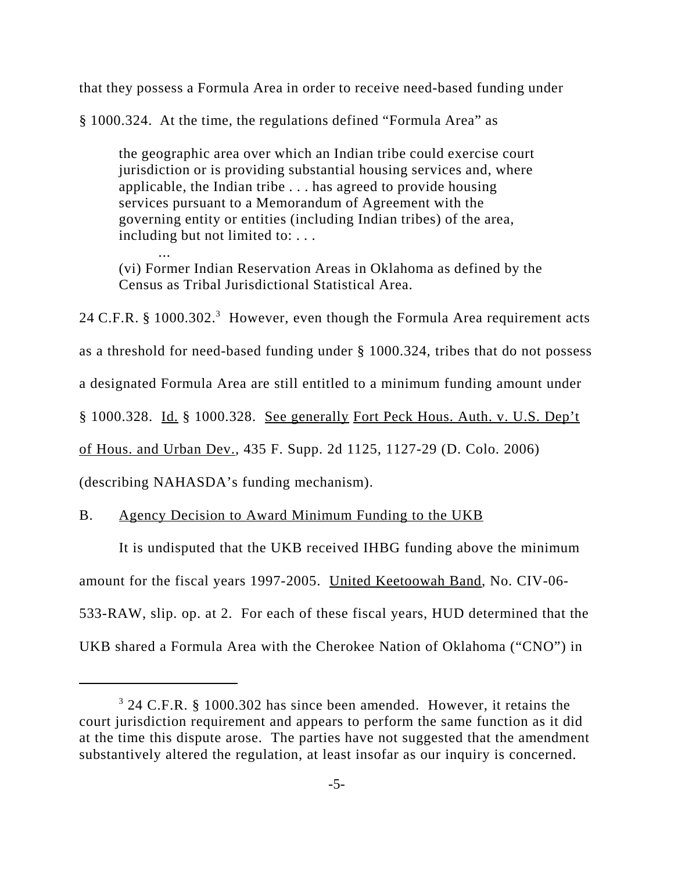that they possess a Formula Area in order to receive need-based funding under

§ 1000.324. At the time, the regulations defined "Formula Area" as

the geographic area over which an Indian tribe could exercise court jurisdiction or is providing substantial housing services and, where applicable, the Indian tribe . . . has agreed to provide housing services pursuant to a Memorandum of Agreement with the governing entity or entities (including Indian tribes) of the area, including but not limited to: . . .

(vi) Former Indian Reservation Areas in Oklahoma as defined by the Census as Tribal Jurisdictional Statistical Area.

24 C.F.R. § 1000.302.<sup>3</sup> However, even though the Formula Area requirement acts

as a threshold for need-based funding under § 1000.324, tribes that do not possess

a designated Formula Area are still entitled to a minimum funding amount under

§ 1000.328. Id. § 1000.328. See generally Fort Peck Hous. Auth. v. U.S. Dep't

of Hous. and Urban Dev., 435 F. Supp. 2d 1125, 1127-29 (D. Colo. 2006)

(describing NAHASDA's funding mechanism).

...

B. Agency Decision to Award Minimum Funding to the UKB

It is undisputed that the UKB received IHBG funding above the minimum amount for the fiscal years 1997-2005. United Keetoowah Band, No. CIV-06- 533-RAW, slip. op. at 2. For each of these fiscal years, HUD determined that the UKB shared a Formula Area with the Cherokee Nation of Oklahoma ("CNO") in

<sup>&</sup>lt;sup>3</sup> 24 C.F.R. § 1000.302 has since been amended. However, it retains the court jurisdiction requirement and appears to perform the same function as it did at the time this dispute arose. The parties have not suggested that the amendment substantively altered the regulation, at least insofar as our inquiry is concerned.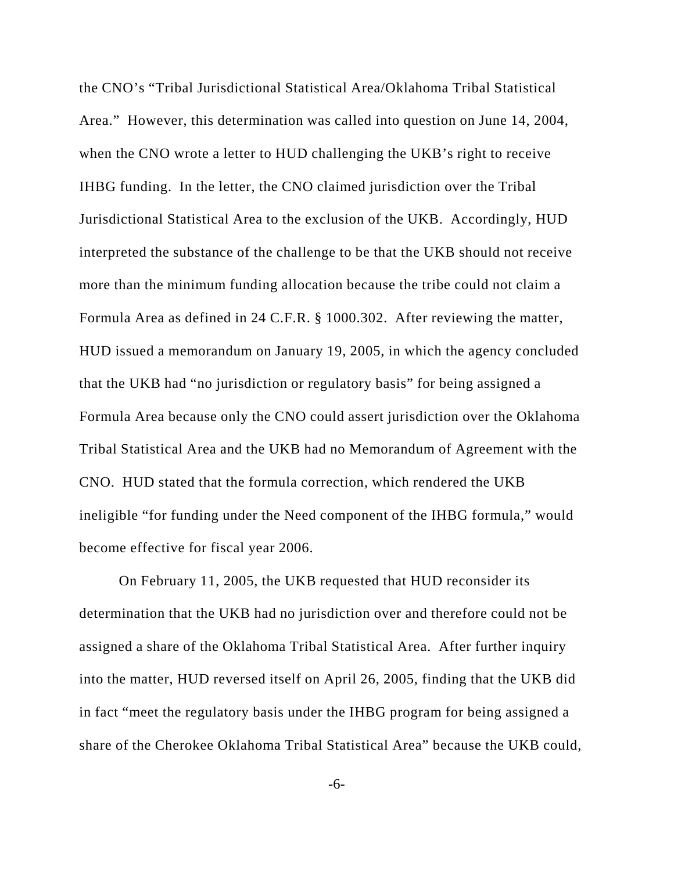the CNO's "Tribal Jurisdictional Statistical Area/Oklahoma Tribal Statistical Area." However, this determination was called into question on June 14, 2004, when the CNO wrote a letter to HUD challenging the UKB's right to receive IHBG funding. In the letter, the CNO claimed jurisdiction over the Tribal Jurisdictional Statistical Area to the exclusion of the UKB. Accordingly, HUD interpreted the substance of the challenge to be that the UKB should not receive more than the minimum funding allocation because the tribe could not claim a Formula Area as defined in 24 C.F.R. § 1000.302. After reviewing the matter, HUD issued a memorandum on January 19, 2005, in which the agency concluded that the UKB had "no jurisdiction or regulatory basis" for being assigned a Formula Area because only the CNO could assert jurisdiction over the Oklahoma Tribal Statistical Area and the UKB had no Memorandum of Agreement with the CNO. HUD stated that the formula correction, which rendered the UKB ineligible "for funding under the Need component of the IHBG formula," would become effective for fiscal year 2006.

On February 11, 2005, the UKB requested that HUD reconsider its determination that the UKB had no jurisdiction over and therefore could not be assigned a share of the Oklahoma Tribal Statistical Area. After further inquiry into the matter, HUD reversed itself on April 26, 2005, finding that the UKB did in fact "meet the regulatory basis under the IHBG program for being assigned a share of the Cherokee Oklahoma Tribal Statistical Area" because the UKB could,

-6-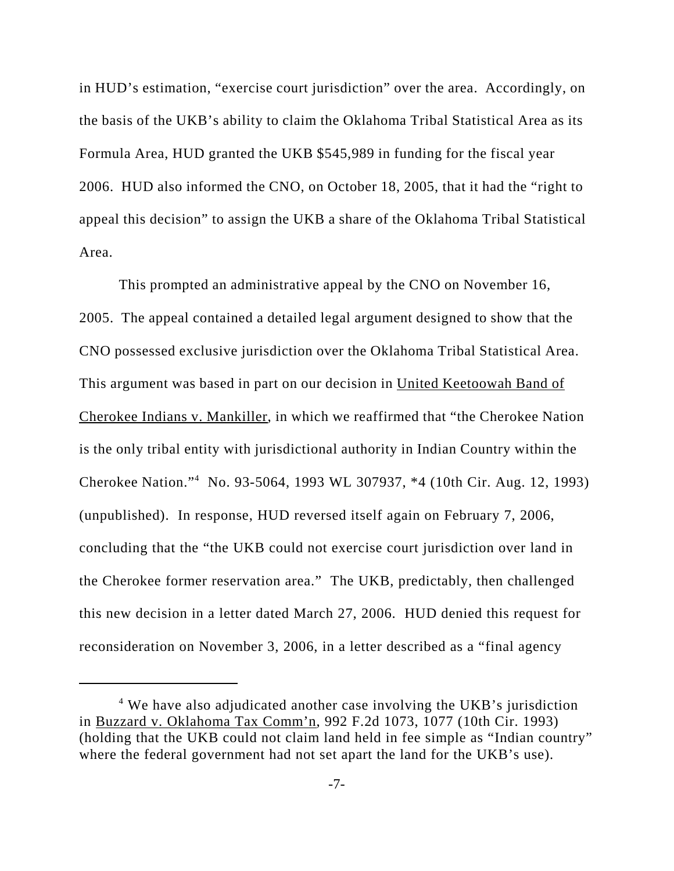in HUD's estimation, "exercise court jurisdiction" over the area. Accordingly, on the basis of the UKB's ability to claim the Oklahoma Tribal Statistical Area as its Formula Area, HUD granted the UKB \$545,989 in funding for the fiscal year 2006. HUD also informed the CNO, on October 18, 2005, that it had the "right to appeal this decision" to assign the UKB a share of the Oklahoma Tribal Statistical Area.

This prompted an administrative appeal by the CNO on November 16, 2005. The appeal contained a detailed legal argument designed to show that the CNO possessed exclusive jurisdiction over the Oklahoma Tribal Statistical Area. This argument was based in part on our decision in United Keetoowah Band of Cherokee Indians v. Mankiller, in which we reaffirmed that "the Cherokee Nation is the only tribal entity with jurisdictional authority in Indian Country within the Cherokee Nation."4 No. 93-5064, 1993 WL 307937, \*4 (10th Cir. Aug. 12, 1993) (unpublished). In response, HUD reversed itself again on February 7, 2006, concluding that the "the UKB could not exercise court jurisdiction over land in the Cherokee former reservation area." The UKB, predictably, then challenged this new decision in a letter dated March 27, 2006. HUD denied this request for reconsideration on November 3, 2006, in a letter described as a "final agency

<sup>&</sup>lt;sup>4</sup> We have also adjudicated another case involving the UKB's jurisdiction in Buzzard v. Oklahoma Tax Comm'n, 992 F.2d 1073, 1077 (10th Cir. 1993) (holding that the UKB could not claim land held in fee simple as "Indian country" where the federal government had not set apart the land for the UKB's use).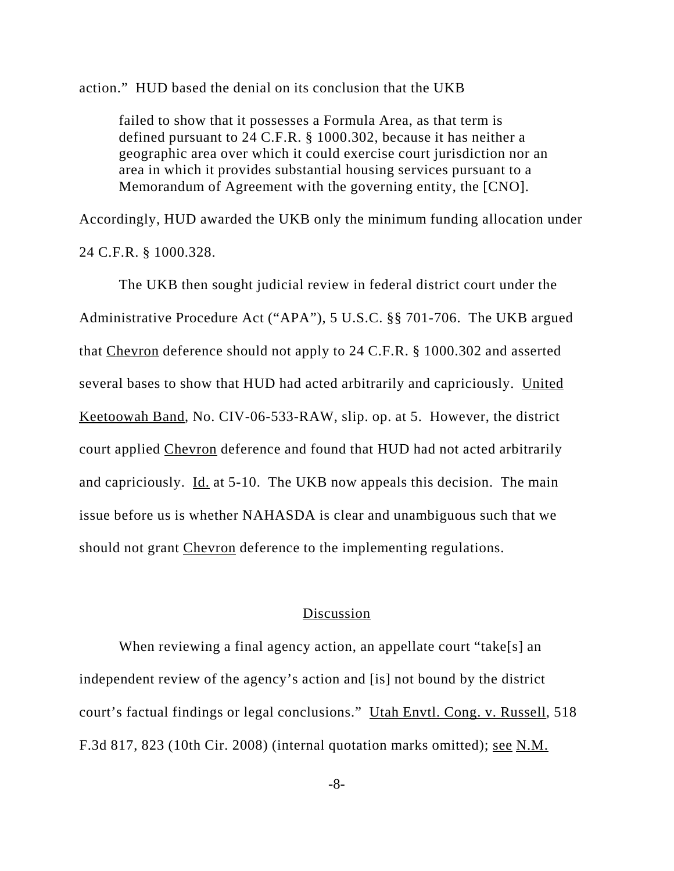action." HUD based the denial on its conclusion that the UKB

failed to show that it possesses a Formula Area, as that term is defined pursuant to 24 C.F.R. § 1000.302, because it has neither a geographic area over which it could exercise court jurisdiction nor an area in which it provides substantial housing services pursuant to a Memorandum of Agreement with the governing entity, the [CNO].

Accordingly, HUD awarded the UKB only the minimum funding allocation under 24 C.F.R. § 1000.328.

The UKB then sought judicial review in federal district court under the Administrative Procedure Act ("APA"), 5 U.S.C. §§ 701-706. The UKB argued that Chevron deference should not apply to 24 C.F.R. § 1000.302 and asserted several bases to show that HUD had acted arbitrarily and capriciously. United Keetoowah Band, No. CIV-06-533-RAW, slip. op. at 5. However, the district court applied Chevron deference and found that HUD had not acted arbitrarily and capriciously. Id. at 5-10. The UKB now appeals this decision. The main issue before us is whether NAHASDA is clear and unambiguous such that we should not grant Chevron deference to the implementing regulations.

### Discussion

When reviewing a final agency action, an appellate court "take[s] an independent review of the agency's action and [is] not bound by the district court's factual findings or legal conclusions." Utah Envtl. Cong. v. Russell, 518 F.3d 817, 823 (10th Cir. 2008) (internal quotation marks omitted); see N.M.

-8-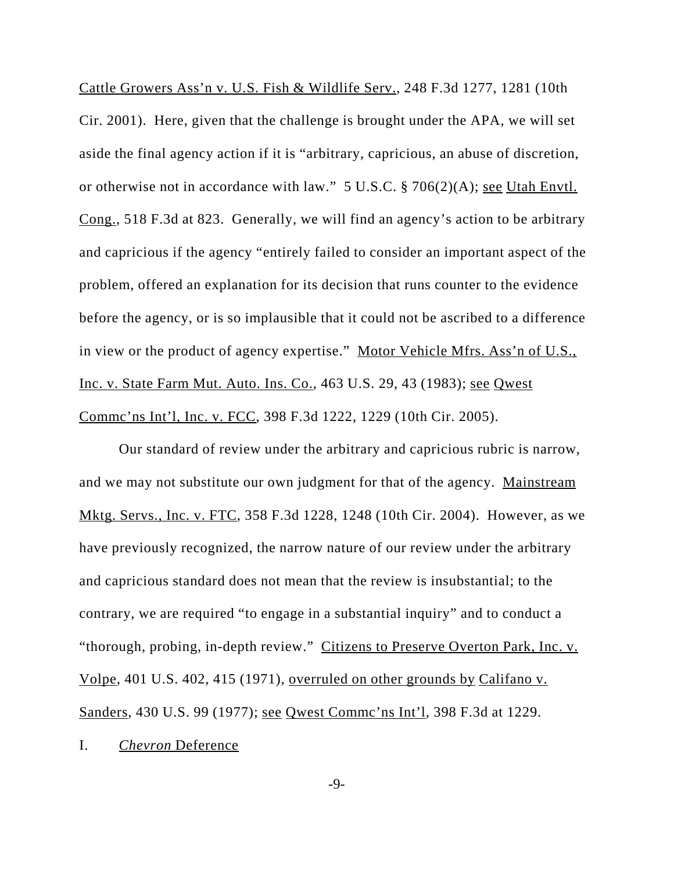Cattle Growers Ass'n v. U.S. Fish & Wildlife Serv., 248 F.3d 1277, 1281 (10th Cir. 2001). Here, given that the challenge is brought under the APA, we will set aside the final agency action if it is "arbitrary, capricious, an abuse of discretion, or otherwise not in accordance with law." 5 U.S.C. § 706(2)(A); see Utah Envtl. Cong., 518 F.3d at 823. Generally, we will find an agency's action to be arbitrary and capricious if the agency "entirely failed to consider an important aspect of the problem, offered an explanation for its decision that runs counter to the evidence before the agency, or is so implausible that it could not be ascribed to a difference in view or the product of agency expertise." Motor Vehicle Mfrs. Ass'n of U.S., Inc. v. State Farm Mut. Auto. Ins. Co., 463 U.S. 29, 43 (1983); see Qwest Commc'ns Int'l, Inc. v. FCC, 398 F.3d 1222, 1229 (10th Cir. 2005).

Our standard of review under the arbitrary and capricious rubric is narrow, and we may not substitute our own judgment for that of the agency. Mainstream Mktg. Servs., Inc. v. FTC, 358 F.3d 1228, 1248 (10th Cir. 2004). However, as we have previously recognized, the narrow nature of our review under the arbitrary and capricious standard does not mean that the review is insubstantial; to the contrary, we are required "to engage in a substantial inquiry" and to conduct a "thorough, probing, in-depth review." Citizens to Preserve Overton Park, Inc. v. Volpe, 401 U.S. 402, 415 (1971), overruled on other grounds by Califano v. Sanders, 430 U.S. 99 (1977); see Qwest Commc'ns Int'l, 398 F.3d at 1229.

I. *Chevron* Deference

-9-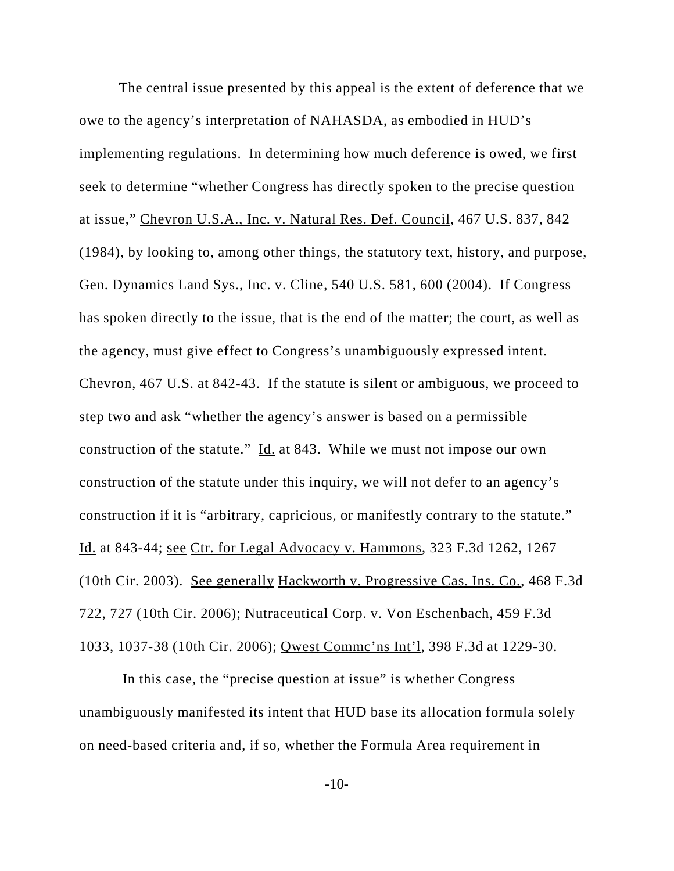The central issue presented by this appeal is the extent of deference that we owe to the agency's interpretation of NAHASDA, as embodied in HUD's implementing regulations. In determining how much deference is owed, we first seek to determine "whether Congress has directly spoken to the precise question at issue," Chevron U.S.A., Inc. v. Natural Res. Def. Council, 467 U.S. 837, 842 (1984), by looking to, among other things, the statutory text, history, and purpose, Gen. Dynamics Land Sys., Inc. v. Cline, 540 U.S. 581, 600 (2004). If Congress has spoken directly to the issue, that is the end of the matter; the court, as well as the agency, must give effect to Congress's unambiguously expressed intent. Chevron, 467 U.S. at 842-43. If the statute is silent or ambiguous, we proceed to step two and ask "whether the agency's answer is based on a permissible construction of the statute." Id. at 843. While we must not impose our own construction of the statute under this inquiry, we will not defer to an agency's construction if it is "arbitrary, capricious, or manifestly contrary to the statute." Id. at 843-44; see Ctr. for Legal Advocacy v. Hammons, 323 F.3d 1262, 1267 (10th Cir. 2003). See generally Hackworth v. Progressive Cas. Ins. Co., 468 F.3d 722, 727 (10th Cir. 2006); Nutraceutical Corp. v. Von Eschenbach, 459 F.3d 1033, 1037-38 (10th Cir. 2006); Qwest Commc'ns Int'l, 398 F.3d at 1229-30.

 In this case, the "precise question at issue" is whether Congress unambiguously manifested its intent that HUD base its allocation formula solely on need-based criteria and, if so, whether the Formula Area requirement in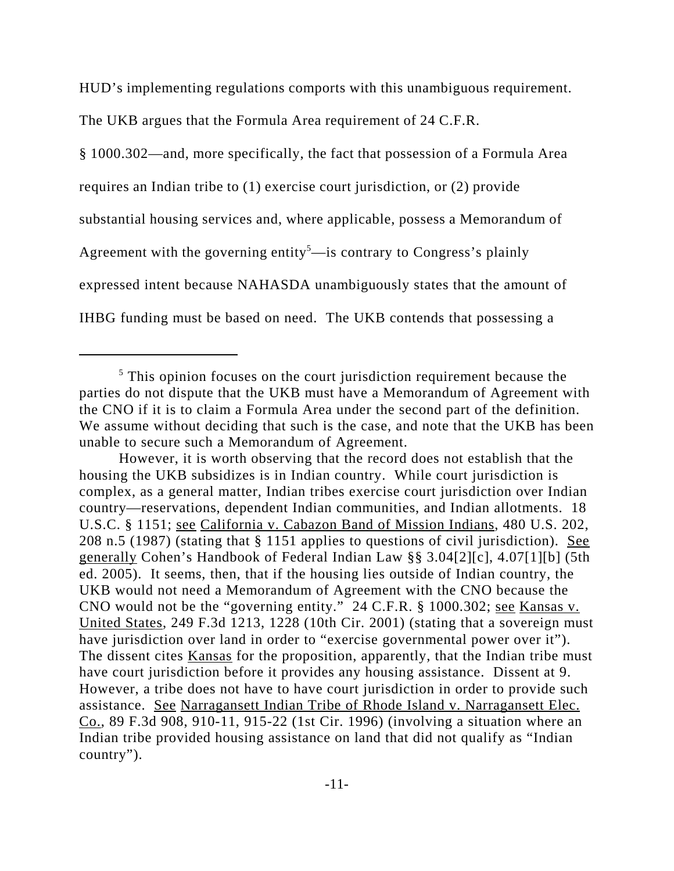HUD's implementing regulations comports with this unambiguous requirement.

The UKB argues that the Formula Area requirement of 24 C.F.R.

§ 1000.302—and, more specifically, the fact that possession of a Formula Area requires an Indian tribe to (1) exercise court jurisdiction, or (2) provide substantial housing services and, where applicable, possess a Memorandum of Agreement with the governing entity<sup>5</sup>—is contrary to Congress's plainly expressed intent because NAHASDA unambiguously states that the amount of IHBG funding must be based on need. The UKB contends that possessing a

However, it is worth observing that the record does not establish that the housing the UKB subsidizes is in Indian country. While court jurisdiction is complex, as a general matter, Indian tribes exercise court jurisdiction over Indian country—reservations, dependent Indian communities, and Indian allotments. 18 U.S.C. § 1151; see California v. Cabazon Band of Mission Indians, 480 U.S. 202, 208 n.5 (1987) (stating that § 1151 applies to questions of civil jurisdiction). See generally Cohen's Handbook of Federal Indian Law §§ 3.04[2][c], 4.07[1][b] (5th ed. 2005). It seems, then, that if the housing lies outside of Indian country, the UKB would not need a Memorandum of Agreement with the CNO because the CNO would not be the "governing entity." 24 C.F.R. § 1000.302; see Kansas v. United States, 249 F.3d 1213, 1228 (10th Cir. 2001) (stating that a sovereign must have jurisdiction over land in order to "exercise governmental power over it"). The dissent cites Kansas for the proposition, apparently, that the Indian tribe must have court jurisdiction before it provides any housing assistance. Dissent at 9. However, a tribe does not have to have court jurisdiction in order to provide such assistance. See Narragansett Indian Tribe of Rhode Island v. Narragansett Elec. Co., 89 F.3d 908, 910-11, 915-22 (1st Cir. 1996) (involving a situation where an Indian tribe provided housing assistance on land that did not qualify as "Indian country").

<sup>&</sup>lt;sup>5</sup> This opinion focuses on the court jurisdiction requirement because the parties do not dispute that the UKB must have a Memorandum of Agreement with the CNO if it is to claim a Formula Area under the second part of the definition. We assume without deciding that such is the case, and note that the UKB has been unable to secure such a Memorandum of Agreement.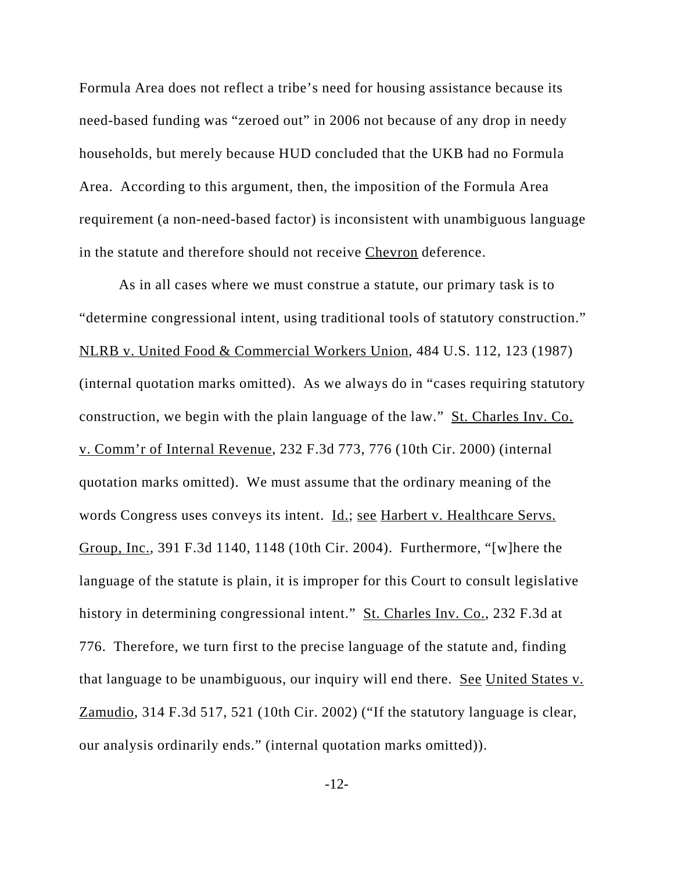Formula Area does not reflect a tribe's need for housing assistance because its need-based funding was "zeroed out" in 2006 not because of any drop in needy households, but merely because HUD concluded that the UKB had no Formula Area. According to this argument, then, the imposition of the Formula Area requirement (a non-need-based factor) is inconsistent with unambiguous language in the statute and therefore should not receive Chevron deference.

As in all cases where we must construe a statute, our primary task is to "determine congressional intent, using traditional tools of statutory construction." NLRB v. United Food & Commercial Workers Union, 484 U.S. 112, 123 (1987) (internal quotation marks omitted). As we always do in "cases requiring statutory construction, we begin with the plain language of the law." St. Charles Inv. Co. v. Comm'r of Internal Revenue, 232 F.3d 773, 776 (10th Cir. 2000) (internal quotation marks omitted). We must assume that the ordinary meaning of the words Congress uses conveys its intent. Id.; see Harbert v. Healthcare Servs. Group, Inc., 391 F.3d 1140, 1148 (10th Cir. 2004). Furthermore, "[w]here the language of the statute is plain, it is improper for this Court to consult legislative history in determining congressional intent." St. Charles Inv. Co., 232 F.3d at 776. Therefore, we turn first to the precise language of the statute and, finding that language to be unambiguous, our inquiry will end there. See United States v. Zamudio, 314 F.3d 517, 521 (10th Cir. 2002) ("If the statutory language is clear, our analysis ordinarily ends." (internal quotation marks omitted)).

-12-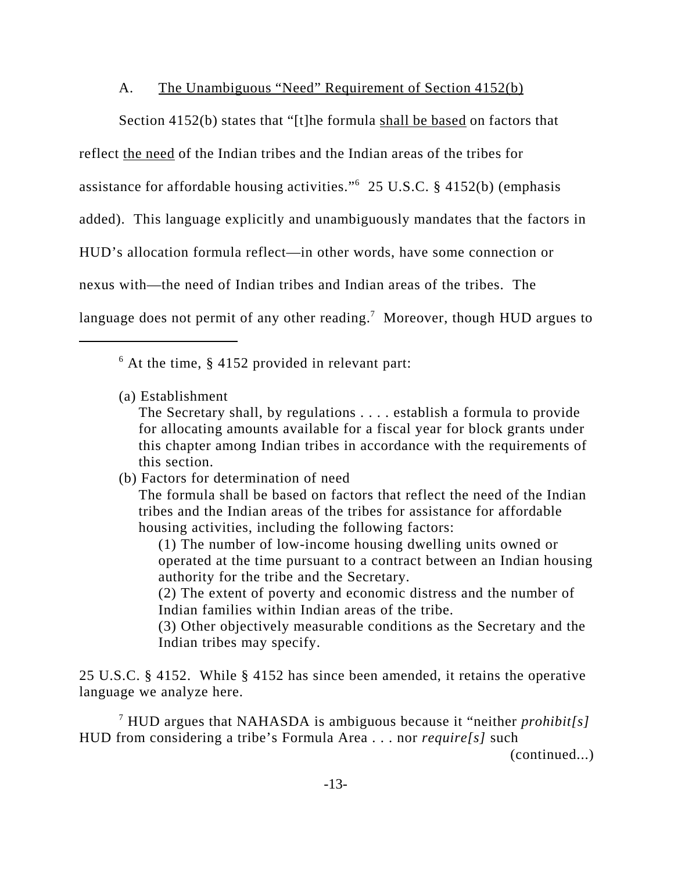## A. The Unambiguous "Need" Requirement of Section 4152(b)

Section 4152(b) states that "[t]he formula shall be based on factors that reflect the need of the Indian tribes and the Indian areas of the tribes for assistance for affordable housing activities."6 25 U.S.C. § 4152(b) (emphasis added). This language explicitly and unambiguously mandates that the factors in HUD's allocation formula reflect—in other words, have some connection or nexus with—the need of Indian tribes and Indian areas of the tribes. The language does not permit of any other reading.<sup>7</sup> Moreover, though HUD argues to

 $6$  At the time, § 4152 provided in relevant part:

(a) Establishment

The Secretary shall, by regulations . . . . establish a formula to provide for allocating amounts available for a fiscal year for block grants under this chapter among Indian tribes in accordance with the requirements of this section.

(b) Factors for determination of need

The formula shall be based on factors that reflect the need of the Indian tribes and the Indian areas of the tribes for assistance for affordable housing activities, including the following factors:

(1) The number of low-income housing dwelling units owned or operated at the time pursuant to a contract between an Indian housing authority for the tribe and the Secretary.

(2) The extent of poverty and economic distress and the number of Indian families within Indian areas of the tribe.

(3) Other objectively measurable conditions as the Secretary and the Indian tribes may specify.

25 U.S.C. § 4152. While § 4152 has since been amended, it retains the operative language we analyze here.

7 HUD argues that NAHASDA is ambiguous because it "neither *prohibit[s]* HUD from considering a tribe's Formula Area . . . nor *require[s]* such

(continued...)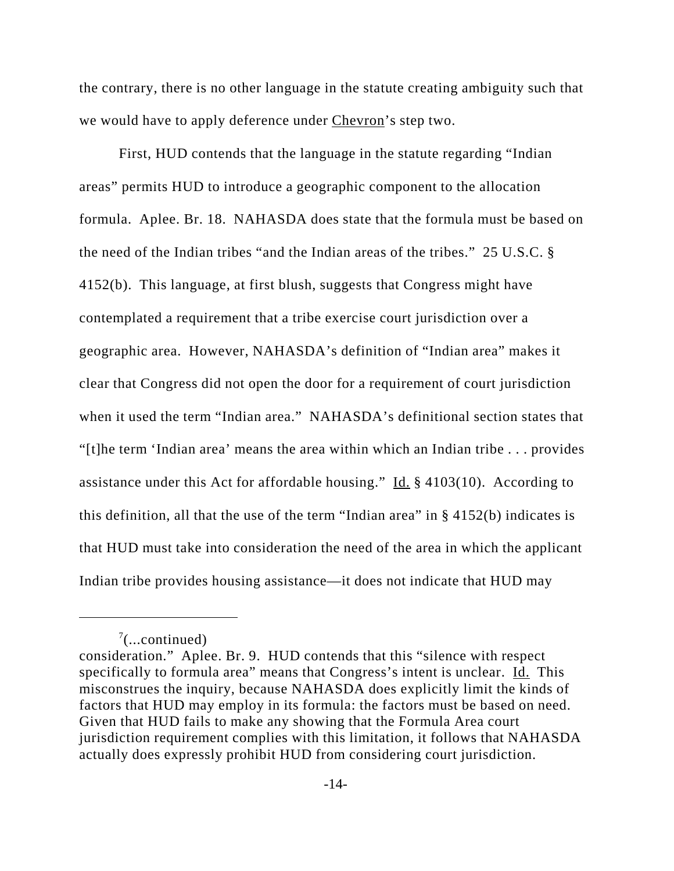the contrary, there is no other language in the statute creating ambiguity such that we would have to apply deference under Chevron's step two.

First, HUD contends that the language in the statute regarding "Indian areas" permits HUD to introduce a geographic component to the allocation formula. Aplee. Br. 18. NAHASDA does state that the formula must be based on the need of the Indian tribes "and the Indian areas of the tribes." 25 U.S.C. § 4152(b). This language, at first blush, suggests that Congress might have contemplated a requirement that a tribe exercise court jurisdiction over a geographic area. However, NAHASDA's definition of "Indian area" makes it clear that Congress did not open the door for a requirement of court jurisdiction when it used the term "Indian area." NAHASDA's definitional section states that "[t]he term 'Indian area' means the area within which an Indian tribe . . . provides assistance under this Act for affordable housing." Id.  $\S$  4103(10). According to this definition, all that the use of the term "Indian area" in § 4152(b) indicates is that HUD must take into consideration the need of the area in which the applicant Indian tribe provides housing assistance—it does not indicate that HUD may

 $7$ (...continued)

consideration." Aplee. Br. 9. HUD contends that this "silence with respect specifically to formula area" means that Congress's intent is unclear. Id. This misconstrues the inquiry, because NAHASDA does explicitly limit the kinds of factors that HUD may employ in its formula: the factors must be based on need. Given that HUD fails to make any showing that the Formula Area court jurisdiction requirement complies with this limitation, it follows that NAHASDA actually does expressly prohibit HUD from considering court jurisdiction.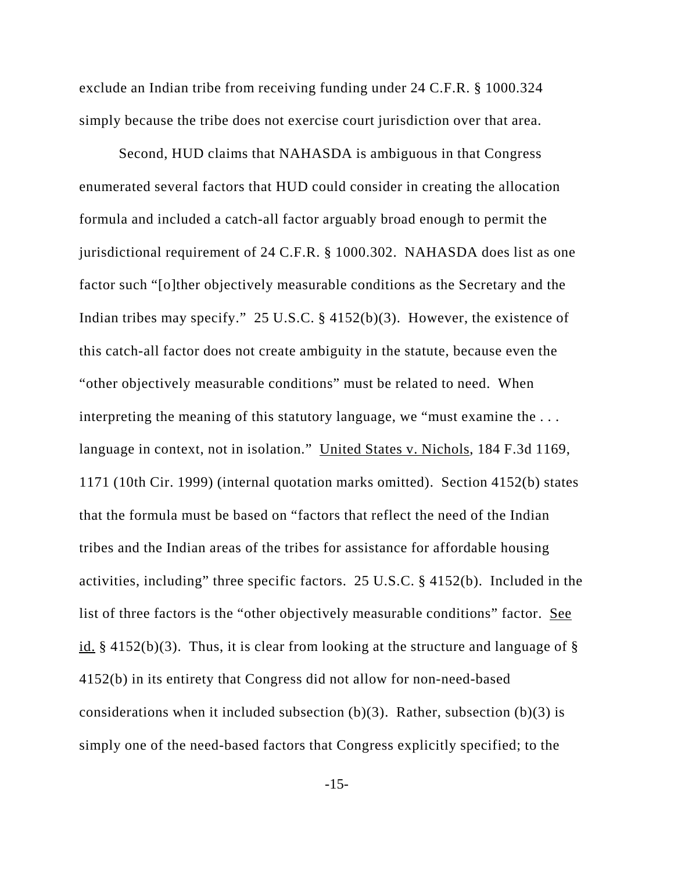exclude an Indian tribe from receiving funding under 24 C.F.R. § 1000.324 simply because the tribe does not exercise court jurisdiction over that area.

Second, HUD claims that NAHASDA is ambiguous in that Congress enumerated several factors that HUD could consider in creating the allocation formula and included a catch-all factor arguably broad enough to permit the jurisdictional requirement of 24 C.F.R. § 1000.302. NAHASDA does list as one factor such "[o]ther objectively measurable conditions as the Secretary and the Indian tribes may specify." 25 U.S.C. § 4152(b)(3). However, the existence of this catch-all factor does not create ambiguity in the statute, because even the "other objectively measurable conditions" must be related to need. When interpreting the meaning of this statutory language, we "must examine the . . . language in context, not in isolation." United States v. Nichols, 184 F.3d 1169, 1171 (10th Cir. 1999) (internal quotation marks omitted). Section 4152(b) states that the formula must be based on "factors that reflect the need of the Indian tribes and the Indian areas of the tribes for assistance for affordable housing activities, including" three specific factors. 25 U.S.C. § 4152(b). Included in the list of three factors is the "other objectively measurable conditions" factor. See id.  $\S$  4152(b)(3). Thus, it is clear from looking at the structure and language of  $\S$ 4152(b) in its entirety that Congress did not allow for non-need-based considerations when it included subsection  $(b)(3)$ . Rather, subsection  $(b)(3)$  is simply one of the need-based factors that Congress explicitly specified; to the

-15-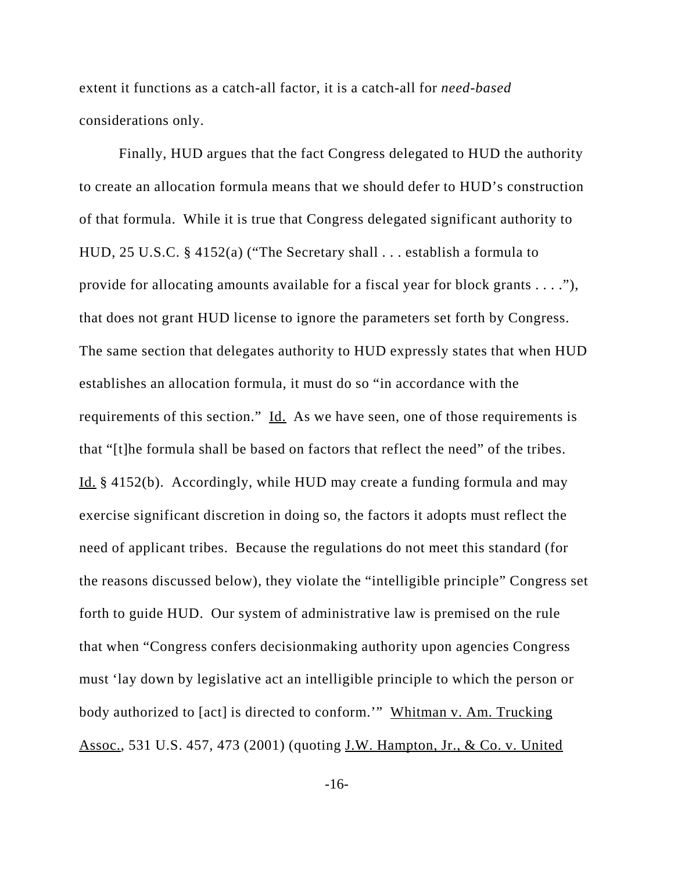extent it functions as a catch-all factor, it is a catch-all for *need-based* considerations only.

Finally, HUD argues that the fact Congress delegated to HUD the authority to create an allocation formula means that we should defer to HUD's construction of that formula. While it is true that Congress delegated significant authority to HUD, 25 U.S.C. § 4152(a) ("The Secretary shall . . . establish a formula to provide for allocating amounts available for a fiscal year for block grants . . . ."), that does not grant HUD license to ignore the parameters set forth by Congress. The same section that delegates authority to HUD expressly states that when HUD establishes an allocation formula, it must do so "in accordance with the requirements of this section." Id. As we have seen, one of those requirements is that "[t]he formula shall be based on factors that reflect the need" of the tribes. Id. § 4152(b). Accordingly, while HUD may create a funding formula and may exercise significant discretion in doing so, the factors it adopts must reflect the need of applicant tribes. Because the regulations do not meet this standard (for the reasons discussed below), they violate the "intelligible principle" Congress set forth to guide HUD. Our system of administrative law is premised on the rule that when "Congress confers decisionmaking authority upon agencies Congress must 'lay down by legislative act an intelligible principle to which the person or body authorized to [act] is directed to conform."" Whitman v. Am. Trucking Assoc., 531 U.S. 457, 473 (2001) (quoting J.W. Hampton, Jr., & Co. v. United

-16-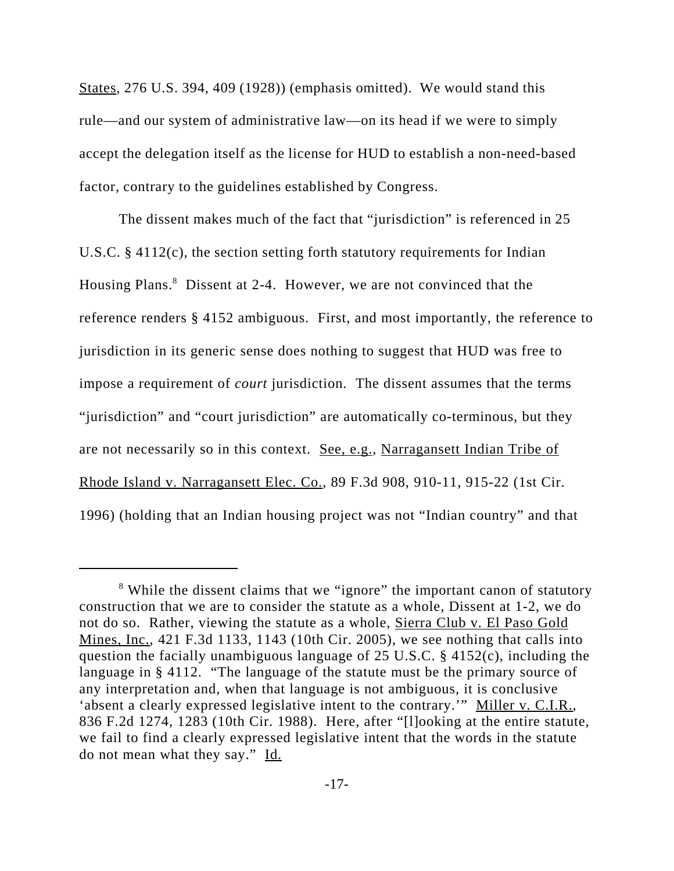States, 276 U.S. 394, 409 (1928)) (emphasis omitted). We would stand this rule—and our system of administrative law—on its head if we were to simply accept the delegation itself as the license for HUD to establish a non-need-based factor, contrary to the guidelines established by Congress.

The dissent makes much of the fact that "jurisdiction" is referenced in 25 U.S.C. § 4112(c), the section setting forth statutory requirements for Indian Housing Plans.<sup>8</sup> Dissent at 2-4. However, we are not convinced that the reference renders § 4152 ambiguous. First, and most importantly, the reference to jurisdiction in its generic sense does nothing to suggest that HUD was free to impose a requirement of *court* jurisdiction. The dissent assumes that the terms "jurisdiction" and "court jurisdiction" are automatically co-terminous, but they are not necessarily so in this context. See, e.g., Narragansett Indian Tribe of Rhode Island v. Narragansett Elec. Co., 89 F.3d 908, 910-11, 915-22 (1st Cir. 1996) (holding that an Indian housing project was not "Indian country" and that

<sup>&</sup>lt;sup>8</sup> While the dissent claims that we "ignore" the important canon of statutory construction that we are to consider the statute as a whole, Dissent at 1-2, we do not do so. Rather, viewing the statute as a whole, Sierra Club v. El Paso Gold Mines, Inc., 421 F.3d 1133, 1143 (10th Cir. 2005), we see nothing that calls into question the facially unambiguous language of 25 U.S.C.  $\S$  4152(c), including the language in § 4112. "The language of the statute must be the primary source of any interpretation and, when that language is not ambiguous, it is conclusive 'absent a clearly expressed legislative intent to the contrary.'" Miller v. C.I.R., 836 F.2d 1274, 1283 (10th Cir. 1988). Here, after "[l]ooking at the entire statute, we fail to find a clearly expressed legislative intent that the words in the statute do not mean what they say." Id.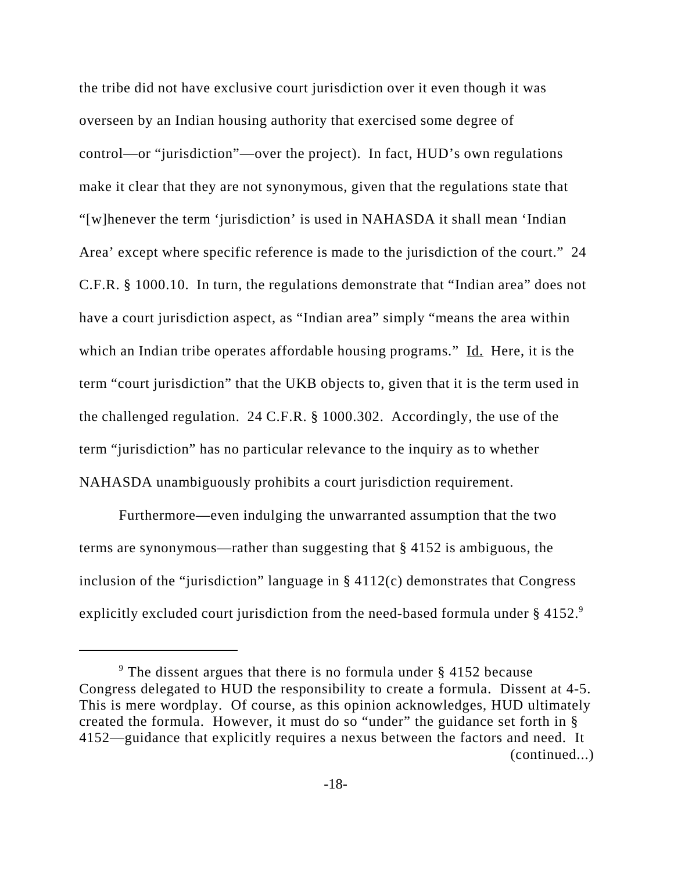the tribe did not have exclusive court jurisdiction over it even though it was overseen by an Indian housing authority that exercised some degree of control—or "jurisdiction"—over the project). In fact, HUD's own regulations make it clear that they are not synonymous, given that the regulations state that "[w]henever the term 'jurisdiction' is used in NAHASDA it shall mean 'Indian Area' except where specific reference is made to the jurisdiction of the court." 24 C.F.R. § 1000.10. In turn, the regulations demonstrate that "Indian area" does not have a court jurisdiction aspect, as "Indian area" simply "means the area within which an Indian tribe operates affordable housing programs." Id. Here, it is the term "court jurisdiction" that the UKB objects to, given that it is the term used in the challenged regulation. 24 C.F.R. § 1000.302. Accordingly, the use of the term "jurisdiction" has no particular relevance to the inquiry as to whether NAHASDA unambiguously prohibits a court jurisdiction requirement.

Furthermore—even indulging the unwarranted assumption that the two terms are synonymous—rather than suggesting that § 4152 is ambiguous, the inclusion of the "jurisdiction" language in  $\S$  4112(c) demonstrates that Congress explicitly excluded court jurisdiction from the need-based formula under § 4152.<sup>9</sup>

 $9$  The dissent argues that there is no formula under § 4152 because Congress delegated to HUD the responsibility to create a formula. Dissent at 4-5. This is mere wordplay. Of course, as this opinion acknowledges, HUD ultimately created the formula. However, it must do so "under" the guidance set forth in § 4152—guidance that explicitly requires a nexus between the factors and need. It (continued...)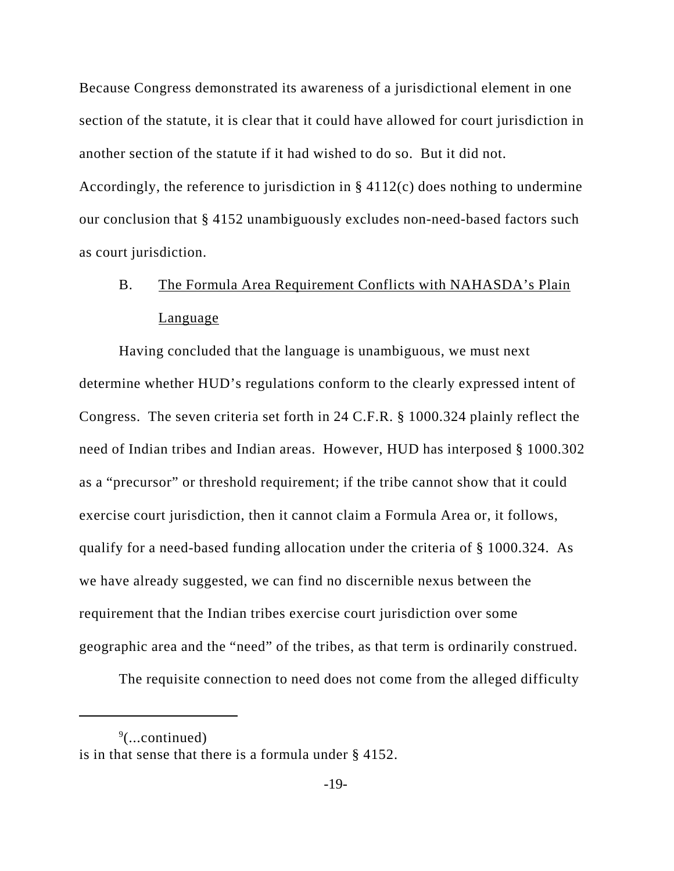Because Congress demonstrated its awareness of a jurisdictional element in one section of the statute, it is clear that it could have allowed for court jurisdiction in another section of the statute if it had wished to do so. But it did not. Accordingly, the reference to jurisdiction in § 4112(c) does nothing to undermine our conclusion that § 4152 unambiguously excludes non-need-based factors such as court jurisdiction.

# B. The Formula Area Requirement Conflicts with NAHASDA's Plain Language

Having concluded that the language is unambiguous, we must next determine whether HUD's regulations conform to the clearly expressed intent of Congress. The seven criteria set forth in 24 C.F.R. § 1000.324 plainly reflect the need of Indian tribes and Indian areas. However, HUD has interposed § 1000.302 as a "precursor" or threshold requirement; if the tribe cannot show that it could exercise court jurisdiction, then it cannot claim a Formula Area or, it follows, qualify for a need-based funding allocation under the criteria of § 1000.324. As we have already suggested, we can find no discernible nexus between the requirement that the Indian tribes exercise court jurisdiction over some geographic area and the "need" of the tribes, as that term is ordinarily construed.

The requisite connection to need does not come from the alleged difficulty

 $\sqrt[9]{$ ...continued) is in that sense that there is a formula under § 4152.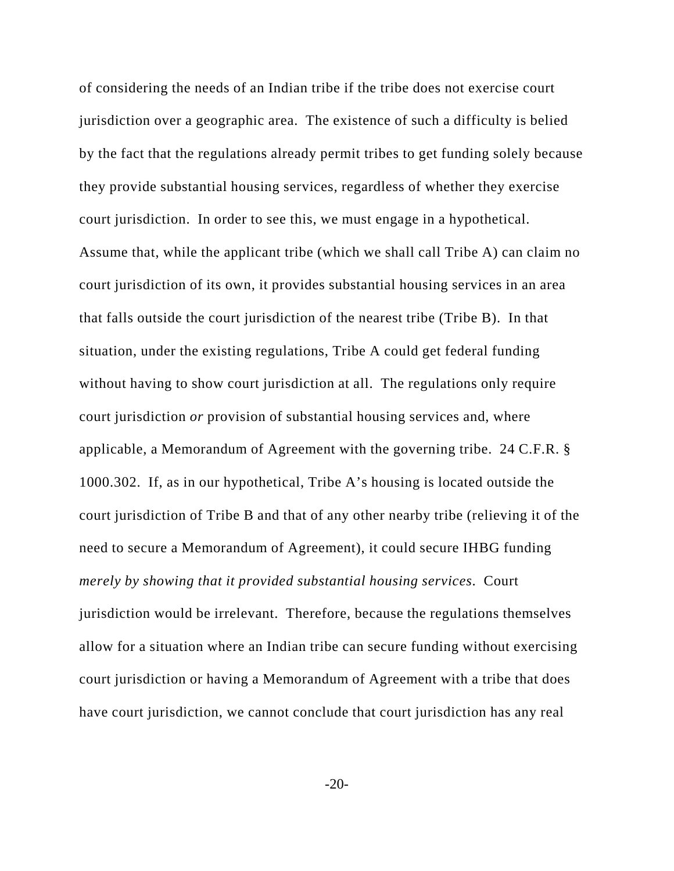of considering the needs of an Indian tribe if the tribe does not exercise court jurisdiction over a geographic area. The existence of such a difficulty is belied by the fact that the regulations already permit tribes to get funding solely because they provide substantial housing services, regardless of whether they exercise court jurisdiction. In order to see this, we must engage in a hypothetical. Assume that, while the applicant tribe (which we shall call Tribe A) can claim no court jurisdiction of its own, it provides substantial housing services in an area that falls outside the court jurisdiction of the nearest tribe (Tribe B). In that situation, under the existing regulations, Tribe A could get federal funding without having to show court jurisdiction at all. The regulations only require court jurisdiction *or* provision of substantial housing services and, where applicable, a Memorandum of Agreement with the governing tribe. 24 C.F.R. § 1000.302. If, as in our hypothetical, Tribe A's housing is located outside the court jurisdiction of Tribe B and that of any other nearby tribe (relieving it of the need to secure a Memorandum of Agreement), it could secure IHBG funding *merely by showing that it provided substantial housing services*. Court jurisdiction would be irrelevant. Therefore, because the regulations themselves allow for a situation where an Indian tribe can secure funding without exercising court jurisdiction or having a Memorandum of Agreement with a tribe that does have court jurisdiction, we cannot conclude that court jurisdiction has any real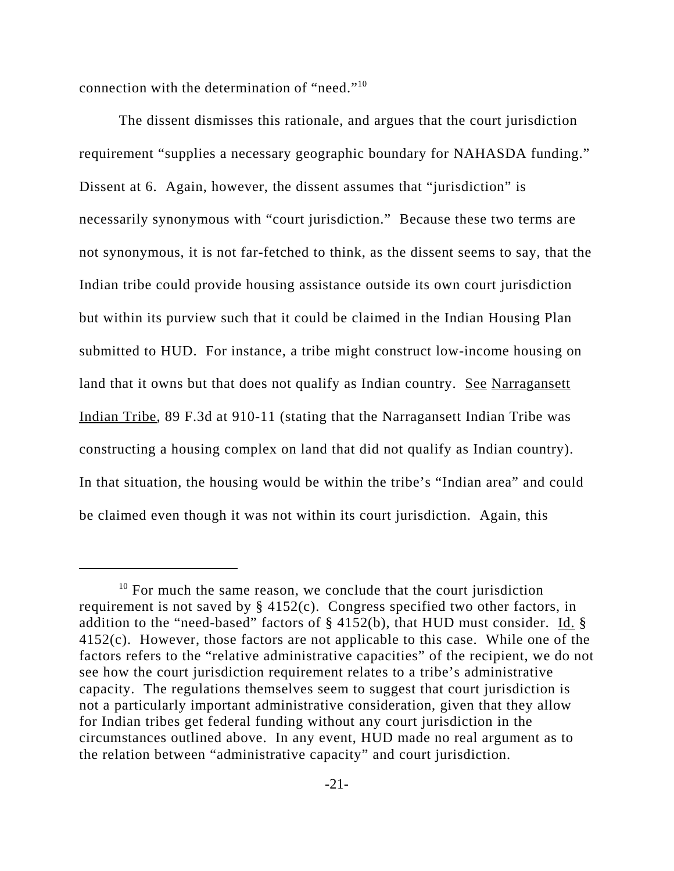connection with the determination of "need."10

The dissent dismisses this rationale, and argues that the court jurisdiction requirement "supplies a necessary geographic boundary for NAHASDA funding." Dissent at 6. Again, however, the dissent assumes that "jurisdiction" is necessarily synonymous with "court jurisdiction." Because these two terms are not synonymous, it is not far-fetched to think, as the dissent seems to say, that the Indian tribe could provide housing assistance outside its own court jurisdiction but within its purview such that it could be claimed in the Indian Housing Plan submitted to HUD. For instance, a tribe might construct low-income housing on land that it owns but that does not qualify as Indian country. See Narragansett Indian Tribe, 89 F.3d at 910-11 (stating that the Narragansett Indian Tribe was constructing a housing complex on land that did not qualify as Indian country). In that situation, the housing would be within the tribe's "Indian area" and could be claimed even though it was not within its court jurisdiction. Again, this

 $10$  For much the same reason, we conclude that the court jurisdiction requirement is not saved by § 4152(c). Congress specified two other factors, in addition to the "need-based" factors of § 4152(b), that HUD must consider. Id. § 4152(c). However, those factors are not applicable to this case. While one of the factors refers to the "relative administrative capacities" of the recipient, we do not see how the court jurisdiction requirement relates to a tribe's administrative capacity. The regulations themselves seem to suggest that court jurisdiction is not a particularly important administrative consideration, given that they allow for Indian tribes get federal funding without any court jurisdiction in the circumstances outlined above. In any event, HUD made no real argument as to the relation between "administrative capacity" and court jurisdiction.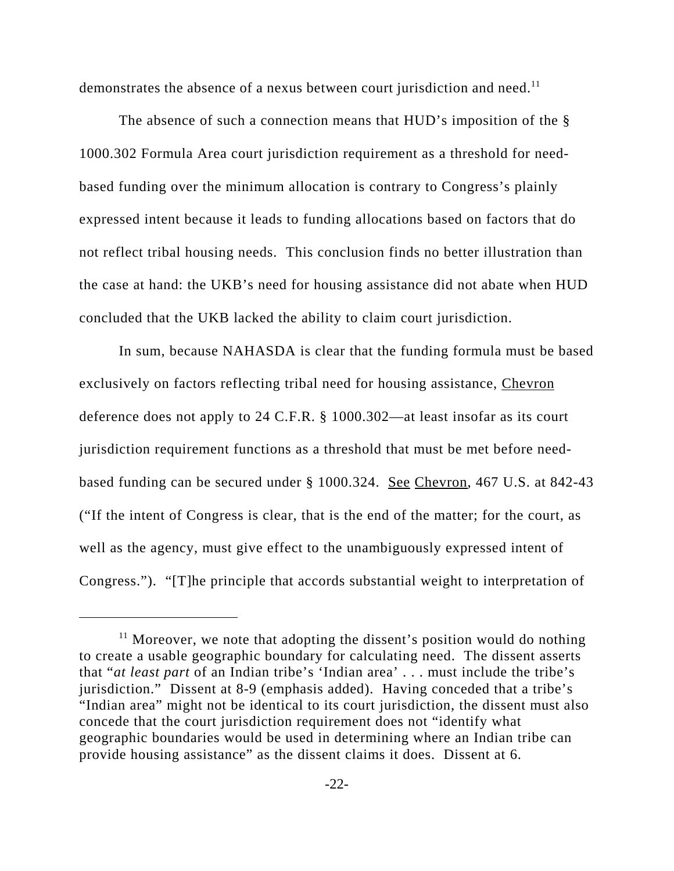demonstrates the absence of a nexus between court jurisdiction and need.<sup>11</sup>

The absence of such a connection means that HUD's imposition of the § 1000.302 Formula Area court jurisdiction requirement as a threshold for needbased funding over the minimum allocation is contrary to Congress's plainly expressed intent because it leads to funding allocations based on factors that do not reflect tribal housing needs. This conclusion finds no better illustration than the case at hand: the UKB's need for housing assistance did not abate when HUD concluded that the UKB lacked the ability to claim court jurisdiction.

In sum, because NAHASDA is clear that the funding formula must be based exclusively on factors reflecting tribal need for housing assistance, Chevron deference does not apply to 24 C.F.R. § 1000.302—at least insofar as its court jurisdiction requirement functions as a threshold that must be met before needbased funding can be secured under § 1000.324. See Chevron, 467 U.S. at 842-43 ("If the intent of Congress is clear, that is the end of the matter; for the court, as well as the agency, must give effect to the unambiguously expressed intent of Congress."). "[T]he principle that accords substantial weight to interpretation of

 $11$  Moreover, we note that adopting the dissent's position would do nothing to create a usable geographic boundary for calculating need. The dissent asserts that "*at least part* of an Indian tribe's 'Indian area' . . . must include the tribe's jurisdiction." Dissent at 8-9 (emphasis added). Having conceded that a tribe's "Indian area" might not be identical to its court jurisdiction, the dissent must also concede that the court jurisdiction requirement does not "identify what geographic boundaries would be used in determining where an Indian tribe can provide housing assistance" as the dissent claims it does. Dissent at 6.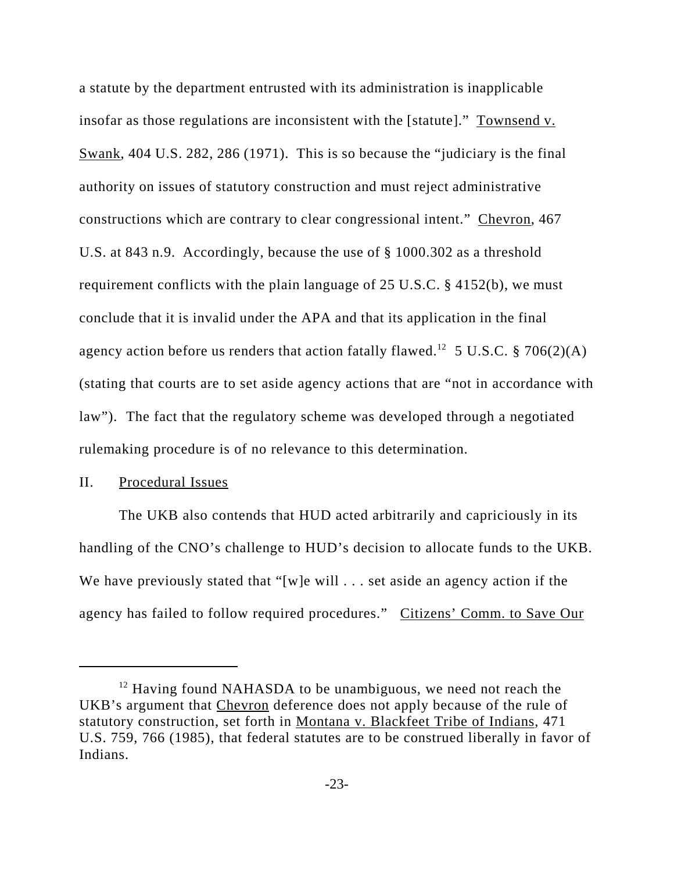a statute by the department entrusted with its administration is inapplicable insofar as those regulations are inconsistent with the [statute]." Townsend v. Swank, 404 U.S. 282, 286 (1971). This is so because the "judiciary is the final authority on issues of statutory construction and must reject administrative constructions which are contrary to clear congressional intent." Chevron, 467 U.S. at 843 n.9. Accordingly, because the use of § 1000.302 as a threshold requirement conflicts with the plain language of 25 U.S.C. § 4152(b), we must conclude that it is invalid under the APA and that its application in the final agency action before us renders that action fatally flawed.<sup>12</sup> 5 U.S.C. § 706(2)(A) (stating that courts are to set aside agency actions that are "not in accordance with law"). The fact that the regulatory scheme was developed through a negotiated rulemaking procedure is of no relevance to this determination.

## II. Procedural Issues

The UKB also contends that HUD acted arbitrarily and capriciously in its handling of the CNO's challenge to HUD's decision to allocate funds to the UKB. We have previously stated that "[w]e will . . . set aside an agency action if the agency has failed to follow required procedures." Citizens' Comm. to Save Our

<sup>&</sup>lt;sup>12</sup> Having found NAHASDA to be unambiguous, we need not reach the UKB's argument that Chevron deference does not apply because of the rule of statutory construction, set forth in Montana v. Blackfeet Tribe of Indians, 471 U.S. 759, 766 (1985), that federal statutes are to be construed liberally in favor of Indians.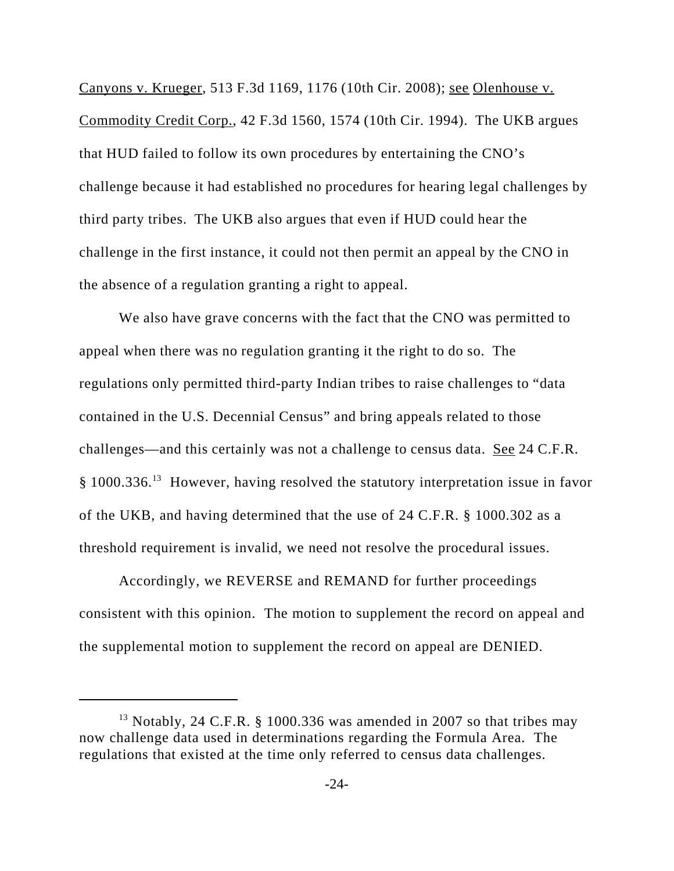Canyons v. Krueger, 513 F.3d 1169, 1176 (10th Cir. 2008); see Olenhouse v. Commodity Credit Corp., 42 F.3d 1560, 1574 (10th Cir. 1994). The UKB argues that HUD failed to follow its own procedures by entertaining the CNO's challenge because it had established no procedures for hearing legal challenges by third party tribes. The UKB also argues that even if HUD could hear the challenge in the first instance, it could not then permit an appeal by the CNO in the absence of a regulation granting a right to appeal.

We also have grave concerns with the fact that the CNO was permitted to appeal when there was no regulation granting it the right to do so. The regulations only permitted third-party Indian tribes to raise challenges to "data contained in the U.S. Decennial Census" and bring appeals related to those challenges—and this certainly was not a challenge to census data. See 24 C.F.R. § 1000.336.13 However, having resolved the statutory interpretation issue in favor of the UKB, and having determined that the use of 24 C.F.R. § 1000.302 as a threshold requirement is invalid, we need not resolve the procedural issues.

Accordingly, we REVERSE and REMAND for further proceedings consistent with this opinion. The motion to supplement the record on appeal and the supplemental motion to supplement the record on appeal are DENIED.

<sup>&</sup>lt;sup>13</sup> Notably, 24 C.F.R. § 1000.336 was amended in 2007 so that tribes may now challenge data used in determinations regarding the Formula Area. The regulations that existed at the time only referred to census data challenges.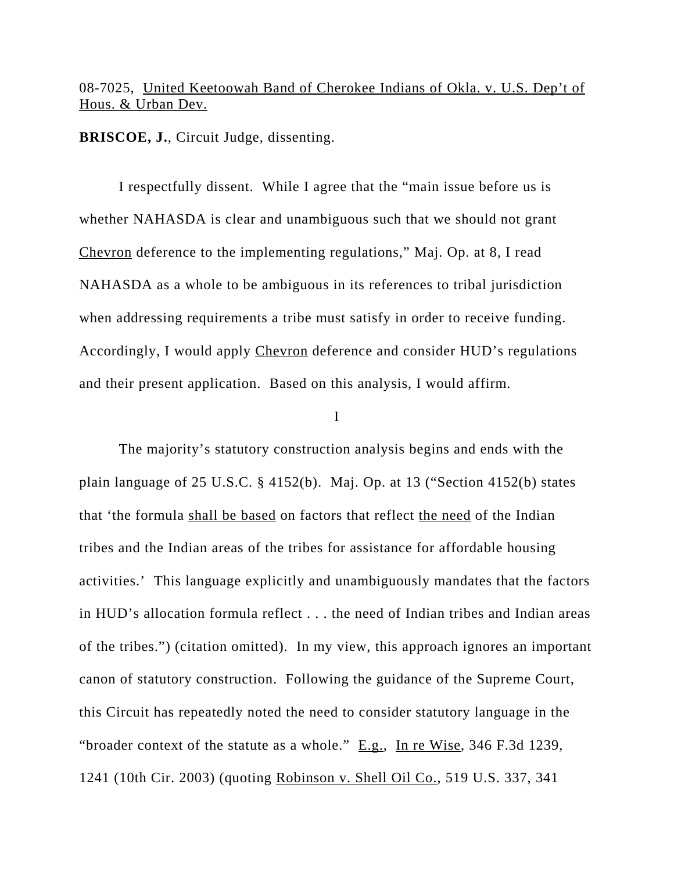# 08-7025, United Keetoowah Band of Cherokee Indians of Okla. v. U.S. Dep't of Hous. & Urban Dev.

**BRISCOE, J.**, Circuit Judge, dissenting.

I respectfully dissent. While I agree that the "main issue before us is whether NAHASDA is clear and unambiguous such that we should not grant Chevron deference to the implementing regulations," Maj. Op. at 8, I read NAHASDA as a whole to be ambiguous in its references to tribal jurisdiction when addressing requirements a tribe must satisfy in order to receive funding. Accordingly, I would apply Chevron deference and consider HUD's regulations and their present application. Based on this analysis, I would affirm.

I

The majority's statutory construction analysis begins and ends with the plain language of 25 U.S.C. § 4152(b). Maj. Op. at 13 ("Section 4152(b) states that 'the formula shall be based on factors that reflect the need of the Indian tribes and the Indian areas of the tribes for assistance for affordable housing activities.' This language explicitly and unambiguously mandates that the factors in HUD's allocation formula reflect . . . the need of Indian tribes and Indian areas of the tribes.") (citation omitted). In my view, this approach ignores an important canon of statutory construction. Following the guidance of the Supreme Court, this Circuit has repeatedly noted the need to consider statutory language in the "broader context of the statute as a whole." E.g., In re Wise, 346 F.3d 1239, 1241 (10th Cir. 2003) (quoting Robinson v. Shell Oil Co., 519 U.S. 337, 341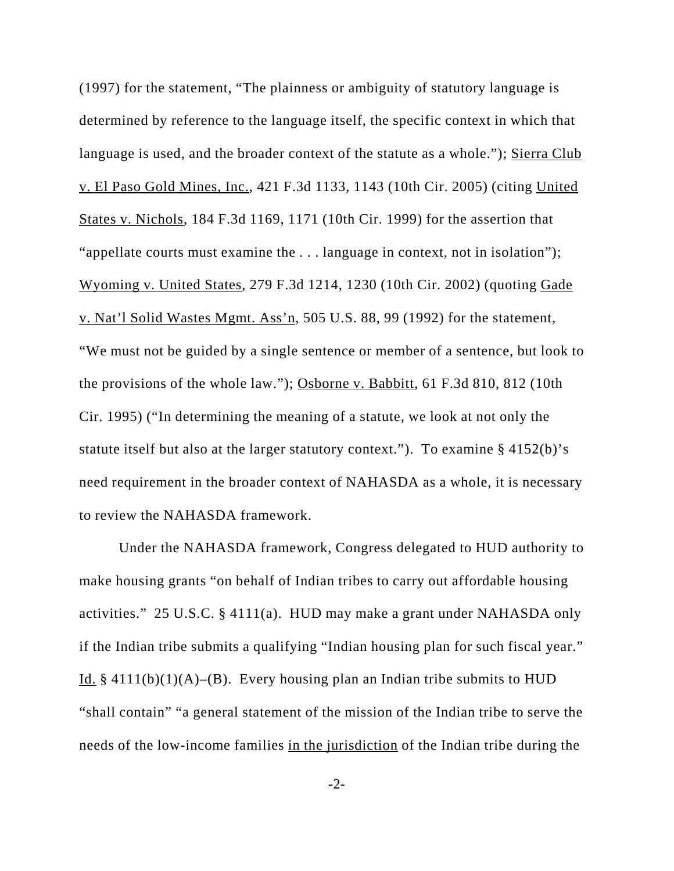(1997) for the statement, "The plainness or ambiguity of statutory language is determined by reference to the language itself, the specific context in which that language is used, and the broader context of the statute as a whole."); Sierra Club v. El Paso Gold Mines, Inc., 421 F.3d 1133, 1143 (10th Cir. 2005) (citing United States v. Nichols, 184 F.3d 1169, 1171 (10th Cir. 1999) for the assertion that "appellate courts must examine the . . . language in context, not in isolation"); Wyoming v. United States, 279 F.3d 1214, 1230 (10th Cir. 2002) (quoting Gade v. Nat'l Solid Wastes Mgmt. Ass'n, 505 U.S. 88, 99 (1992) for the statement, "We must not be guided by a single sentence or member of a sentence, but look to the provisions of the whole law."); Osborne v. Babbitt, 61 F.3d 810, 812 (10th Cir. 1995) ("In determining the meaning of a statute, we look at not only the statute itself but also at the larger statutory context."). To examine § 4152(b)'s need requirement in the broader context of NAHASDA as a whole, it is necessary to review the NAHASDA framework.

Under the NAHASDA framework, Congress delegated to HUD authority to make housing grants "on behalf of Indian tribes to carry out affordable housing activities." 25 U.S.C. § 4111(a). HUD may make a grant under NAHASDA only if the Indian tribe submits a qualifying "Indian housing plan for such fiscal year." Id. § 4111(b)(1)(A)–(B). Every housing plan an Indian tribe submits to HUD "shall contain" "a general statement of the mission of the Indian tribe to serve the needs of the low-income families in the jurisdiction of the Indian tribe during the

-2-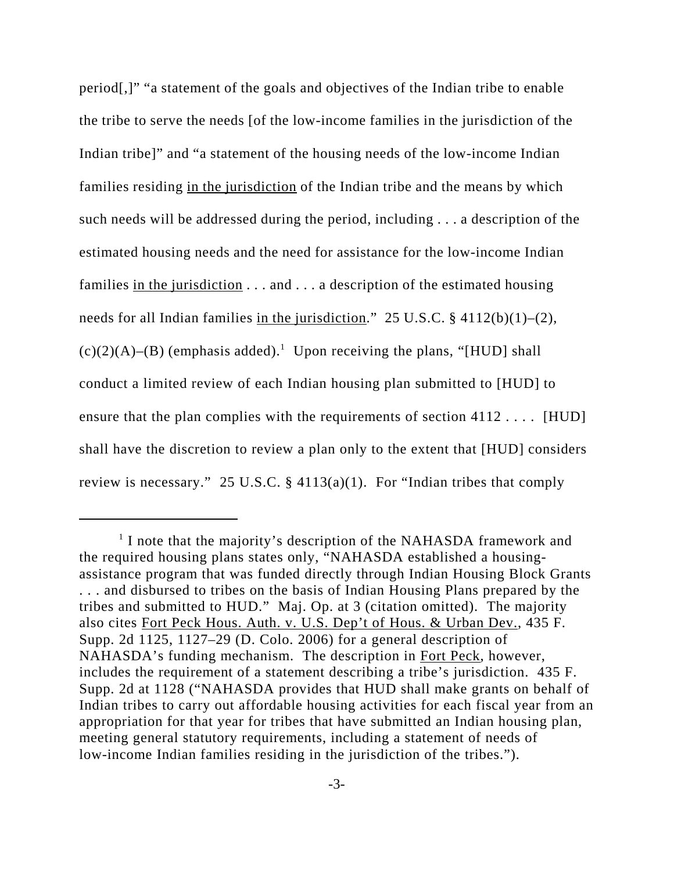period[,]" "a statement of the goals and objectives of the Indian tribe to enable the tribe to serve the needs [of the low-income families in the jurisdiction of the Indian tribe]" and "a statement of the housing needs of the low-income Indian families residing in the jurisdiction of the Indian tribe and the means by which such needs will be addressed during the period, including . . . a description of the estimated housing needs and the need for assistance for the low-income Indian families in the jurisdiction  $\dots$  and  $\dots$  a description of the estimated housing needs for all Indian families in the jurisdiction." 25 U.S.C. § 4112(b)(1)–(2),  $(c)(2)(A)$ –(B) (emphasis added).<sup>1</sup> Upon receiving the plans, "[HUD] shall conduct a limited review of each Indian housing plan submitted to [HUD] to ensure that the plan complies with the requirements of section 4112 . . . . [HUD] shall have the discretion to review a plan only to the extent that [HUD] considers review is necessary." 25 U.S.C. § 4113(a)(1). For "Indian tribes that comply

<sup>&</sup>lt;sup>1</sup> I note that the majority's description of the NAHASDA framework and the required housing plans states only, "NAHASDA established a housingassistance program that was funded directly through Indian Housing Block Grants . . . and disbursed to tribes on the basis of Indian Housing Plans prepared by the tribes and submitted to HUD." Maj. Op. at 3 (citation omitted). The majority also cites Fort Peck Hous. Auth. v. U.S. Dep't of Hous. & Urban Dev., 435 F. Supp. 2d 1125, 1127–29 (D. Colo. 2006) for a general description of NAHASDA's funding mechanism. The description in Fort Peck, however, includes the requirement of a statement describing a tribe's jurisdiction. 435 F. Supp. 2d at 1128 ("NAHASDA provides that HUD shall make grants on behalf of Indian tribes to carry out affordable housing activities for each fiscal year from an appropriation for that year for tribes that have submitted an Indian housing plan, meeting general statutory requirements, including a statement of needs of low-income Indian families residing in the jurisdiction of the tribes.").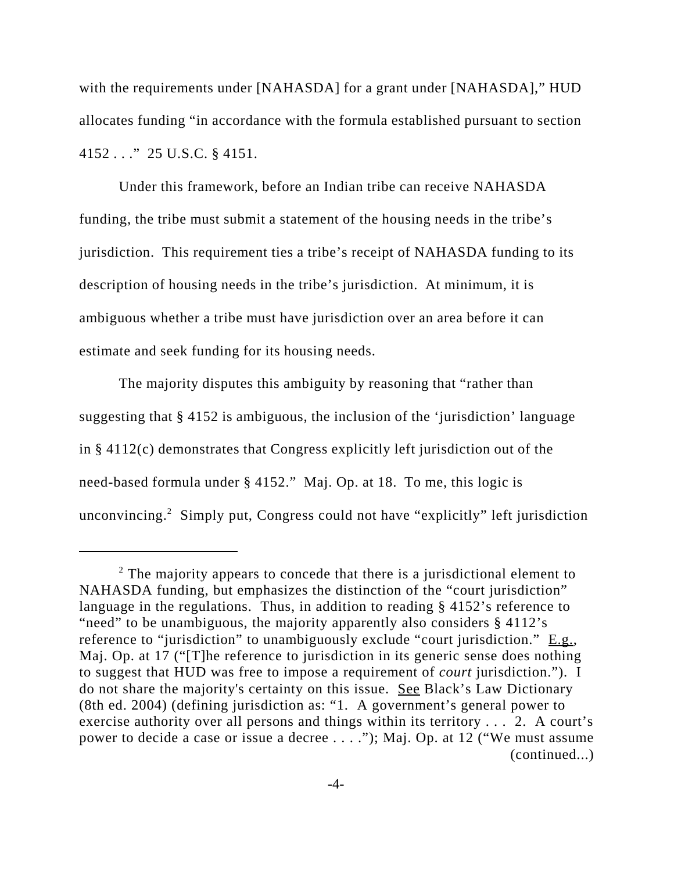with the requirements under [NAHASDA] for a grant under [NAHASDA]," HUD allocates funding "in accordance with the formula established pursuant to section 4152 . . ." 25 U.S.C. § 4151.

Under this framework, before an Indian tribe can receive NAHASDA funding, the tribe must submit a statement of the housing needs in the tribe's jurisdiction. This requirement ties a tribe's receipt of NAHASDA funding to its description of housing needs in the tribe's jurisdiction. At minimum, it is ambiguous whether a tribe must have jurisdiction over an area before it can estimate and seek funding for its housing needs.

The majority disputes this ambiguity by reasoning that "rather than suggesting that § 4152 is ambiguous, the inclusion of the 'jurisdiction' language in § 4112(c) demonstrates that Congress explicitly left jurisdiction out of the need-based formula under § 4152." Maj. Op. at 18. To me, this logic is unconvincing.<sup>2</sup> Simply put, Congress could not have "explicitly" left jurisdiction

 $2$  The majority appears to concede that there is a jurisdictional element to NAHASDA funding, but emphasizes the distinction of the "court jurisdiction" language in the regulations. Thus, in addition to reading § 4152's reference to "need" to be unambiguous, the majority apparently also considers § 4112's reference to "jurisdiction" to unambiguously exclude "court jurisdiction." E.g., Maj. Op. at 17 ("[T]he reference to jurisdiction in its generic sense does nothing to suggest that HUD was free to impose a requirement of *court* jurisdiction."). I do not share the majority's certainty on this issue. See Black's Law Dictionary (8th ed. 2004) (defining jurisdiction as: "1. A government's general power to exercise authority over all persons and things within its territory . . . 2. A court's power to decide a case or issue a decree . . . ."); Maj. Op. at 12 ("We must assume (continued...)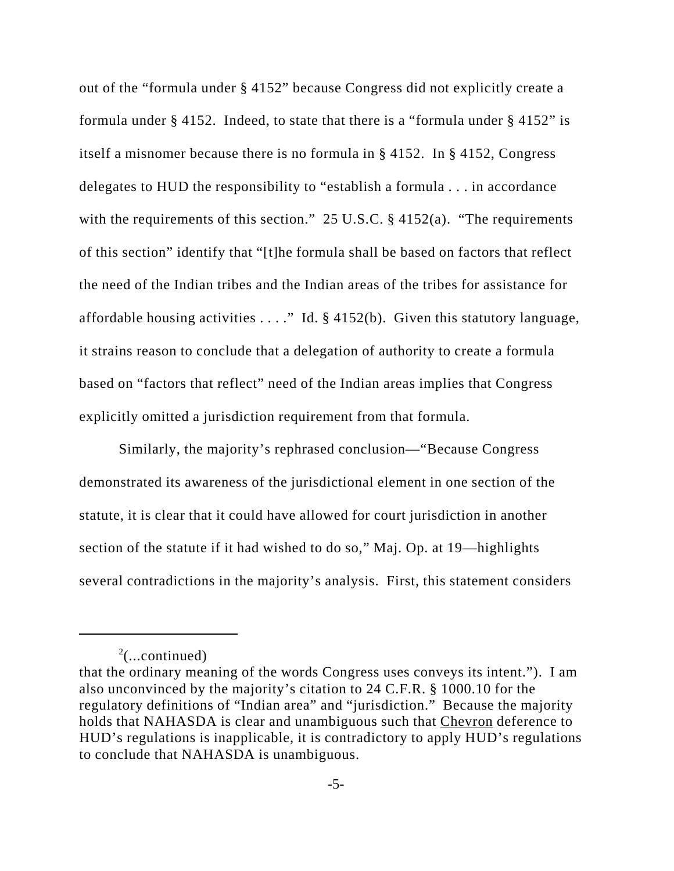out of the "formula under § 4152" because Congress did not explicitly create a formula under § 4152. Indeed, to state that there is a "formula under § 4152" is itself a misnomer because there is no formula in § 4152. In § 4152, Congress delegates to HUD the responsibility to "establish a formula . . . in accordance with the requirements of this section." 25 U.S.C. § 4152(a). "The requirements of this section" identify that "[t]he formula shall be based on factors that reflect the need of the Indian tribes and the Indian areas of the tribes for assistance for affordable housing activities  $\dots$ ." Id. § 4152(b). Given this statutory language, it strains reason to conclude that a delegation of authority to create a formula based on "factors that reflect" need of the Indian areas implies that Congress explicitly omitted a jurisdiction requirement from that formula.

Similarly, the majority's rephrased conclusion—"Because Congress demonstrated its awareness of the jurisdictional element in one section of the statute, it is clear that it could have allowed for court jurisdiction in another section of the statute if it had wished to do so," Maj. Op. at 19—highlights several contradictions in the majority's analysis. First, this statement considers

 $2$ (...continued)

that the ordinary meaning of the words Congress uses conveys its intent."). I am also unconvinced by the majority's citation to 24 C.F.R. § 1000.10 for the regulatory definitions of "Indian area" and "jurisdiction." Because the majority holds that NAHASDA is clear and unambiguous such that Chevron deference to HUD's regulations is inapplicable, it is contradictory to apply HUD's regulations to conclude that NAHASDA is unambiguous.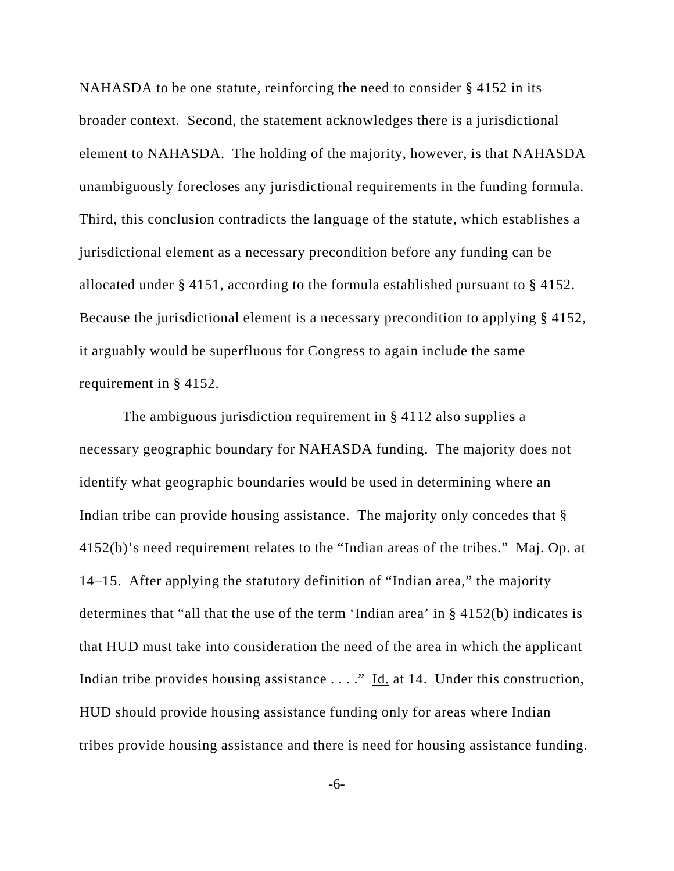NAHASDA to be one statute, reinforcing the need to consider § 4152 in its broader context. Second, the statement acknowledges there is a jurisdictional element to NAHASDA. The holding of the majority, however, is that NAHASDA unambiguously forecloses any jurisdictional requirements in the funding formula. Third, this conclusion contradicts the language of the statute, which establishes a jurisdictional element as a necessary precondition before any funding can be allocated under § 4151, according to the formula established pursuant to § 4152. Because the jurisdictional element is a necessary precondition to applying § 4152, it arguably would be superfluous for Congress to again include the same requirement in § 4152.

 The ambiguous jurisdiction requirement in § 4112 also supplies a necessary geographic boundary for NAHASDA funding. The majority does not identify what geographic boundaries would be used in determining where an Indian tribe can provide housing assistance. The majority only concedes that § 4152(b)'s need requirement relates to the "Indian areas of the tribes." Maj. Op. at 14–15. After applying the statutory definition of "Indian area," the majority determines that "all that the use of the term 'Indian area' in § 4152(b) indicates is that HUD must take into consideration the need of the area in which the applicant Indian tribe provides housing assistance . . . ." Id. at 14. Under this construction, HUD should provide housing assistance funding only for areas where Indian tribes provide housing assistance and there is need for housing assistance funding.

-6-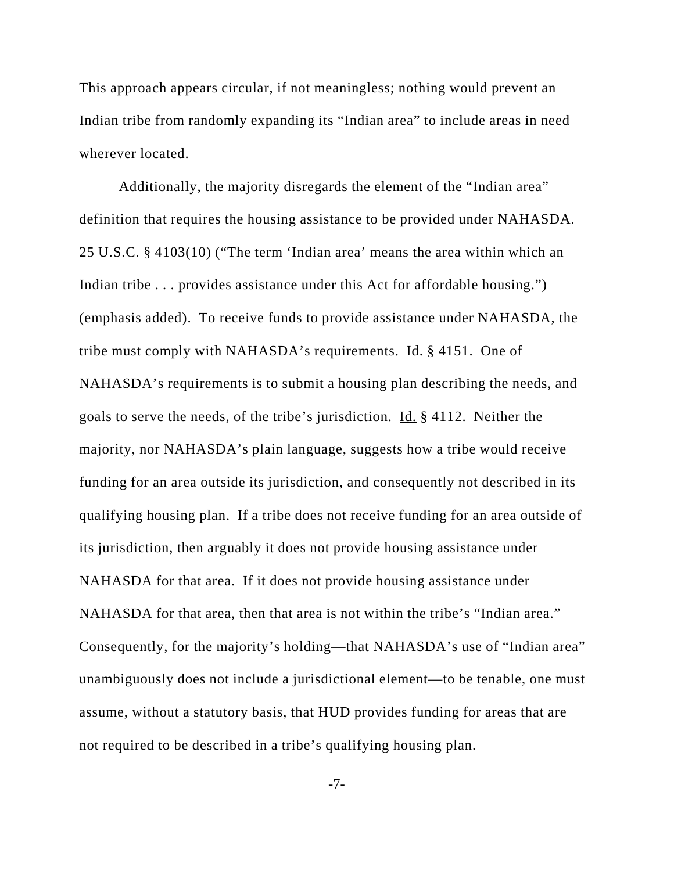This approach appears circular, if not meaningless; nothing would prevent an Indian tribe from randomly expanding its "Indian area" to include areas in need wherever located.

Additionally, the majority disregards the element of the "Indian area" definition that requires the housing assistance to be provided under NAHASDA. 25 U.S.C. § 4103(10) ("The term 'Indian area' means the area within which an Indian tribe . . . provides assistance under this Act for affordable housing.") (emphasis added). To receive funds to provide assistance under NAHASDA, the tribe must comply with NAHASDA's requirements. Id. § 4151. One of NAHASDA's requirements is to submit a housing plan describing the needs, and goals to serve the needs, of the tribe's jurisdiction. Id. § 4112. Neither the majority, nor NAHASDA's plain language, suggests how a tribe would receive funding for an area outside its jurisdiction, and consequently not described in its qualifying housing plan. If a tribe does not receive funding for an area outside of its jurisdiction, then arguably it does not provide housing assistance under NAHASDA for that area. If it does not provide housing assistance under NAHASDA for that area, then that area is not within the tribe's "Indian area." Consequently, for the majority's holding—that NAHASDA's use of "Indian area" unambiguously does not include a jurisdictional element—to be tenable, one must assume, without a statutory basis, that HUD provides funding for areas that are not required to be described in a tribe's qualifying housing plan.

-7-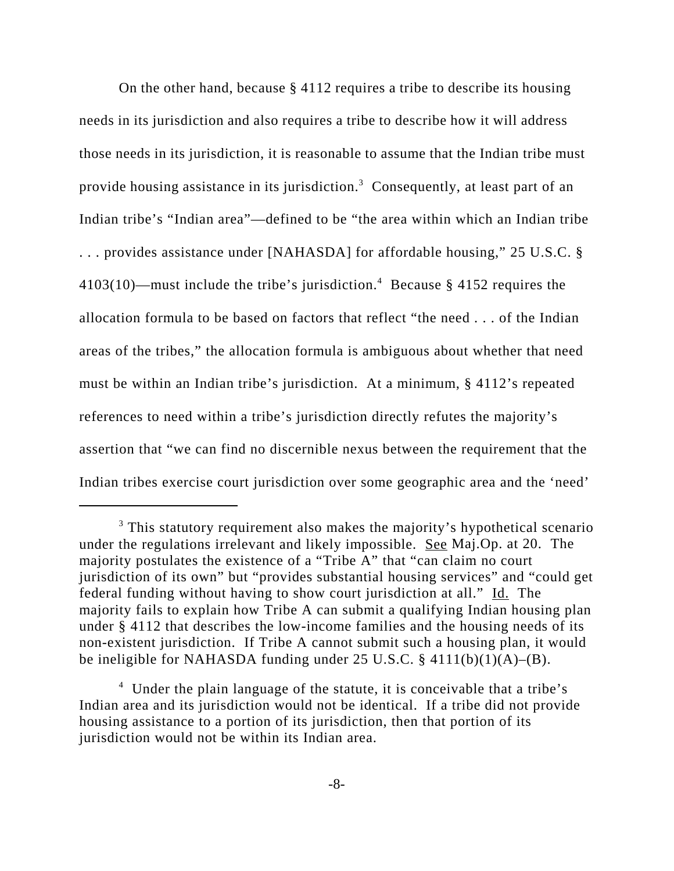On the other hand, because § 4112 requires a tribe to describe its housing needs in its jurisdiction and also requires a tribe to describe how it will address those needs in its jurisdiction, it is reasonable to assume that the Indian tribe must provide housing assistance in its jurisdiction.<sup>3</sup> Consequently, at least part of an Indian tribe's "Indian area"—defined to be "the area within which an Indian tribe . . . provides assistance under [NAHASDA] for affordable housing," 25 U.S.C. §  $4103(10)$ —must include the tribe's jurisdiction.<sup>4</sup> Because § 4152 requires the allocation formula to be based on factors that reflect "the need . . . of the Indian areas of the tribes," the allocation formula is ambiguous about whether that need must be within an Indian tribe's jurisdiction. At a minimum, § 4112's repeated references to need within a tribe's jurisdiction directly refutes the majority's assertion that "we can find no discernible nexus between the requirement that the Indian tribes exercise court jurisdiction over some geographic area and the 'need'

<sup>&</sup>lt;sup>3</sup> This statutory requirement also makes the majority's hypothetical scenario under the regulations irrelevant and likely impossible. See Maj.Op. at 20. The majority postulates the existence of a "Tribe A" that "can claim no court jurisdiction of its own" but "provides substantial housing services" and "could get federal funding without having to show court jurisdiction at all." Id. The majority fails to explain how Tribe A can submit a qualifying Indian housing plan under § 4112 that describes the low-income families and the housing needs of its non-existent jurisdiction. If Tribe A cannot submit such a housing plan, it would be ineligible for NAHASDA funding under 25 U.S.C. § 4111(b)(1)(A)–(B).

<sup>&</sup>lt;sup>4</sup> Under the plain language of the statute, it is conceivable that a tribe's Indian area and its jurisdiction would not be identical. If a tribe did not provide housing assistance to a portion of its jurisdiction, then that portion of its jurisdiction would not be within its Indian area.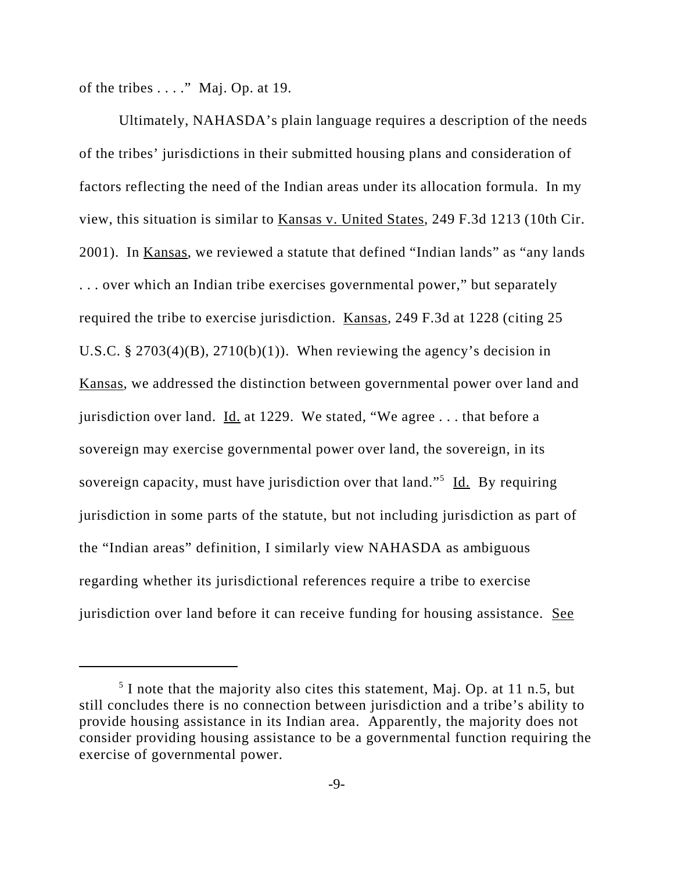of the tribes  $\dots$ ." Maj. Op. at 19.

Ultimately, NAHASDA's plain language requires a description of the needs of the tribes' jurisdictions in their submitted housing plans and consideration of factors reflecting the need of the Indian areas under its allocation formula. In my view, this situation is similar to Kansas v. United States, 249 F.3d 1213 (10th Cir. 2001). In Kansas, we reviewed a statute that defined "Indian lands" as "any lands . . . over which an Indian tribe exercises governmental power," but separately required the tribe to exercise jurisdiction. Kansas, 249 F.3d at 1228 (citing 25 U.S.C. § 2703(4)(B), 2710(b)(1)). When reviewing the agency's decision in Kansas, we addressed the distinction between governmental power over land and jurisdiction over land.  $\underline{Id}$  at 1229. We stated, "We agree ... that before a sovereign may exercise governmental power over land, the sovereign, in its sovereign capacity, must have jurisdiction over that land."<sup>5</sup> Id. By requiring jurisdiction in some parts of the statute, but not including jurisdiction as part of the "Indian areas" definition, I similarly view NAHASDA as ambiguous regarding whether its jurisdictional references require a tribe to exercise jurisdiction over land before it can receive funding for housing assistance. See

 $<sup>5</sup>$  I note that the majority also cites this statement, Maj. Op. at 11 n.5, but</sup> still concludes there is no connection between jurisdiction and a tribe's ability to provide housing assistance in its Indian area. Apparently, the majority does not consider providing housing assistance to be a governmental function requiring the exercise of governmental power.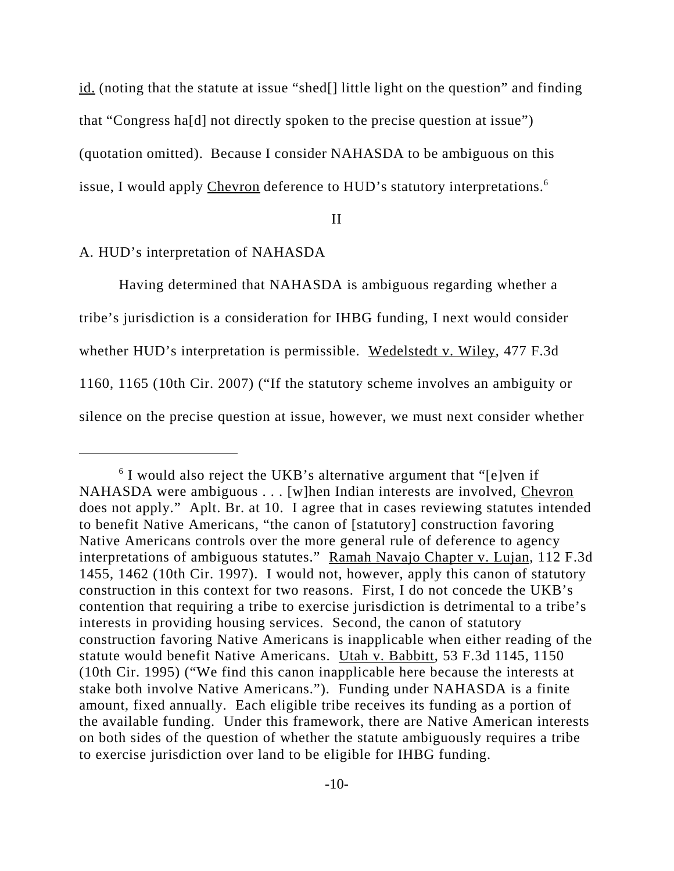id. (noting that the statute at issue "shed[] little light on the question" and finding that "Congress ha[d] not directly spoken to the precise question at issue") (quotation omitted). Because I consider NAHASDA to be ambiguous on this issue, I would apply Chevron deference to HUD's statutory interpretations.<sup>6</sup>

### II

## A. HUD's interpretation of NAHASDA

Having determined that NAHASDA is ambiguous regarding whether a tribe's jurisdiction is a consideration for IHBG funding, I next would consider whether HUD's interpretation is permissible. Wedelstedt v. Wiley, 477 F.3d 1160, 1165 (10th Cir. 2007) ("If the statutory scheme involves an ambiguity or silence on the precise question at issue, however, we must next consider whether

<sup>&</sup>lt;sup>6</sup> I would also reject the UKB's alternative argument that "[e]ven if NAHASDA were ambiguous . . . [w]hen Indian interests are involved, Chevron does not apply." Aplt. Br. at 10. I agree that in cases reviewing statutes intended to benefit Native Americans, "the canon of [statutory] construction favoring Native Americans controls over the more general rule of deference to agency interpretations of ambiguous statutes." Ramah Navajo Chapter v. Lujan, 112 F.3d 1455, 1462 (10th Cir. 1997). I would not, however, apply this canon of statutory construction in this context for two reasons. First, I do not concede the UKB's contention that requiring a tribe to exercise jurisdiction is detrimental to a tribe's interests in providing housing services. Second, the canon of statutory construction favoring Native Americans is inapplicable when either reading of the statute would benefit Native Americans. Utah v. Babbitt, 53 F.3d 1145, 1150 (10th Cir. 1995) ("We find this canon inapplicable here because the interests at stake both involve Native Americans."). Funding under NAHASDA is a finite amount, fixed annually. Each eligible tribe receives its funding as a portion of the available funding. Under this framework, there are Native American interests on both sides of the question of whether the statute ambiguously requires a tribe to exercise jurisdiction over land to be eligible for IHBG funding.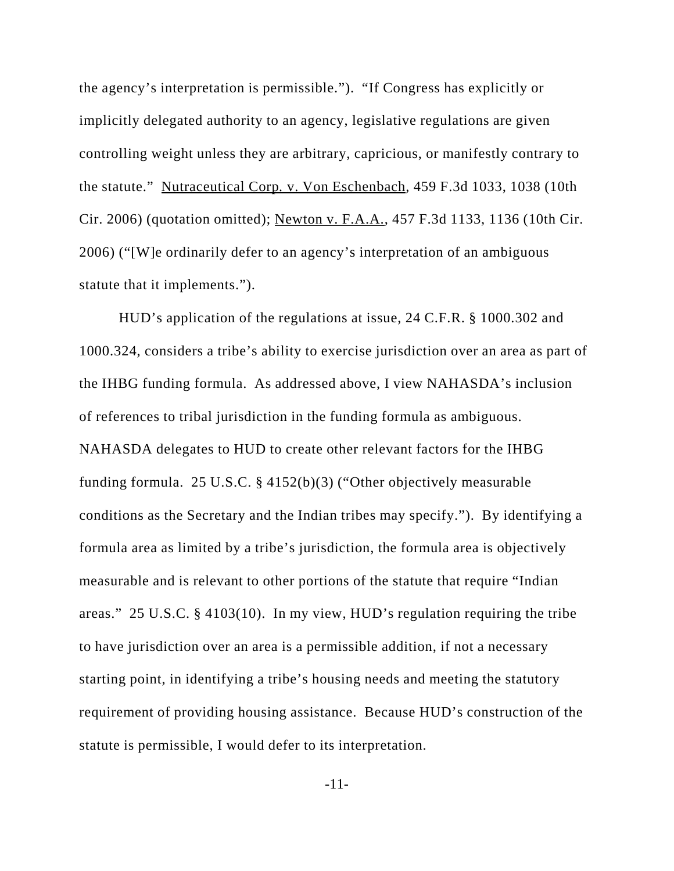the agency's interpretation is permissible."). "If Congress has explicitly or implicitly delegated authority to an agency, legislative regulations are given controlling weight unless they are arbitrary, capricious, or manifestly contrary to the statute." Nutraceutical Corp*.* v. Von Eschenbach*,* 459 F.3d 1033, 1038 (10th Cir. 2006) (quotation omitted); Newton v. F.A.A., 457 F.3d 1133, 1136 (10th Cir. 2006) ("[W]e ordinarily defer to an agency's interpretation of an ambiguous statute that it implements.").

HUD's application of the regulations at issue, 24 C.F.R. § 1000.302 and 1000.324, considers a tribe's ability to exercise jurisdiction over an area as part of the IHBG funding formula. As addressed above, I view NAHASDA's inclusion of references to tribal jurisdiction in the funding formula as ambiguous. NAHASDA delegates to HUD to create other relevant factors for the IHBG funding formula. 25 U.S.C. § 4152(b)(3) ("Other objectively measurable conditions as the Secretary and the Indian tribes may specify."). By identifying a formula area as limited by a tribe's jurisdiction, the formula area is objectively measurable and is relevant to other portions of the statute that require "Indian areas." 25 U.S.C. § 4103(10). In my view, HUD's regulation requiring the tribe to have jurisdiction over an area is a permissible addition, if not a necessary starting point, in identifying a tribe's housing needs and meeting the statutory requirement of providing housing assistance. Because HUD's construction of the statute is permissible, I would defer to its interpretation.

-11-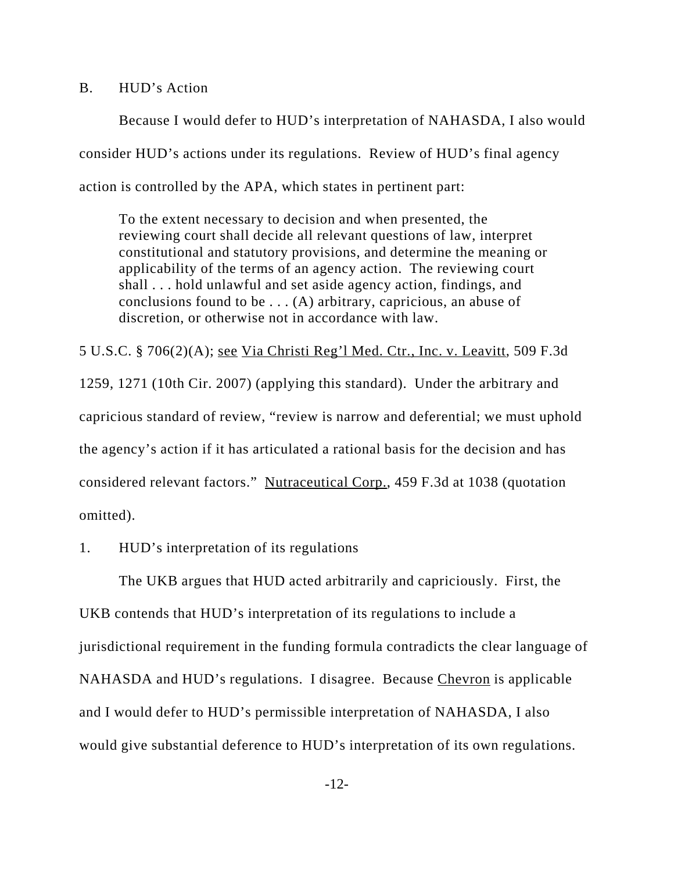B. HUD's Action

Because I would defer to HUD's interpretation of NAHASDA, I also would consider HUD's actions under its regulations. Review of HUD's final agency action is controlled by the APA, which states in pertinent part:

To the extent necessary to decision and when presented, the reviewing court shall decide all relevant questions of law, interpret constitutional and statutory provisions, and determine the meaning or applicability of the terms of an agency action. The reviewing court shall . . . hold unlawful and set aside agency action, findings, and conclusions found to be . . . (A) arbitrary, capricious, an abuse of discretion, or otherwise not in accordance with law.

5 U.S.C. § 706(2)(A); see Via Christi Reg'l Med. Ctr., Inc. v. Leavitt, 509 F.3d 1259, 1271 (10th Cir. 2007) (applying this standard). Under the arbitrary and capricious standard of review, "review is narrow and deferential; we must uphold the agency's action if it has articulated a rational basis for the decision and has considered relevant factors." Nutraceutical Corp., 459 F.3d at 1038 (quotation omitted).

1. HUD's interpretation of its regulations

The UKB argues that HUD acted arbitrarily and capriciously. First, the UKB contends that HUD's interpretation of its regulations to include a jurisdictional requirement in the funding formula contradicts the clear language of NAHASDA and HUD's regulations. I disagree. Because Chevron is applicable and I would defer to HUD's permissible interpretation of NAHASDA, I also would give substantial deference to HUD's interpretation of its own regulations.

-12-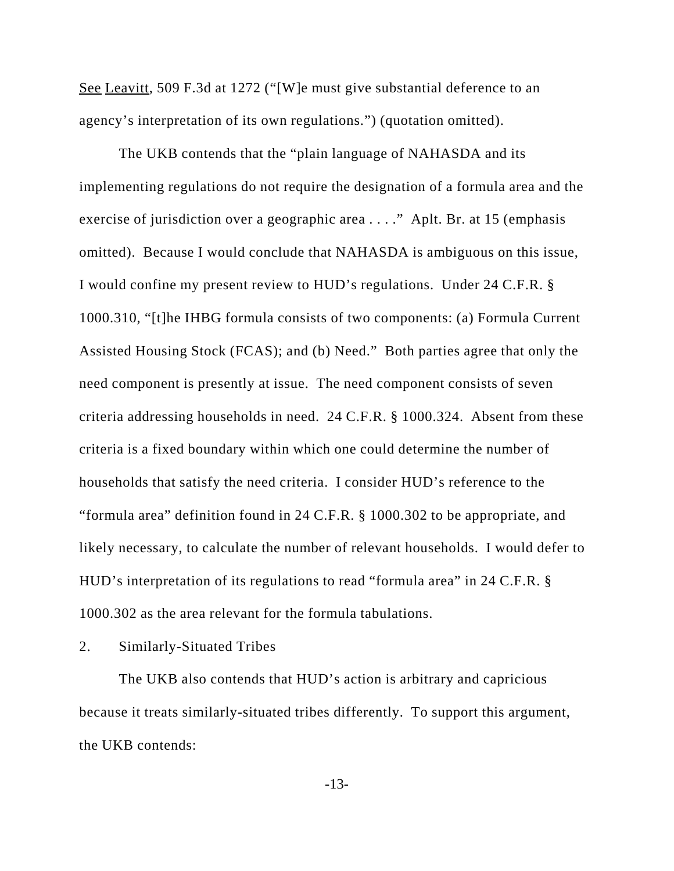See Leavitt, 509 F.3d at 1272 ("[W]e must give substantial deference to an agency's interpretation of its own regulations.") (quotation omitted).

The UKB contends that the "plain language of NAHASDA and its implementing regulations do not require the designation of a formula area and the exercise of jurisdiction over a geographic area . . . ." Aplt. Br. at 15 (emphasis omitted). Because I would conclude that NAHASDA is ambiguous on this issue, I would confine my present review to HUD's regulations. Under 24 C.F.R. § 1000.310, "[t]he IHBG formula consists of two components: (a) Formula Current Assisted Housing Stock (FCAS); and (b) Need." Both parties agree that only the need component is presently at issue. The need component consists of seven criteria addressing households in need. 24 C.F.R. § 1000.324. Absent from these criteria is a fixed boundary within which one could determine the number of households that satisfy the need criteria. I consider HUD's reference to the "formula area" definition found in 24 C.F.R. § 1000.302 to be appropriate, and likely necessary, to calculate the number of relevant households. I would defer to HUD's interpretation of its regulations to read "formula area" in 24 C.F.R. § 1000.302 as the area relevant for the formula tabulations.

2. Similarly-Situated Tribes

The UKB also contends that HUD's action is arbitrary and capricious because it treats similarly-situated tribes differently. To support this argument, the UKB contends: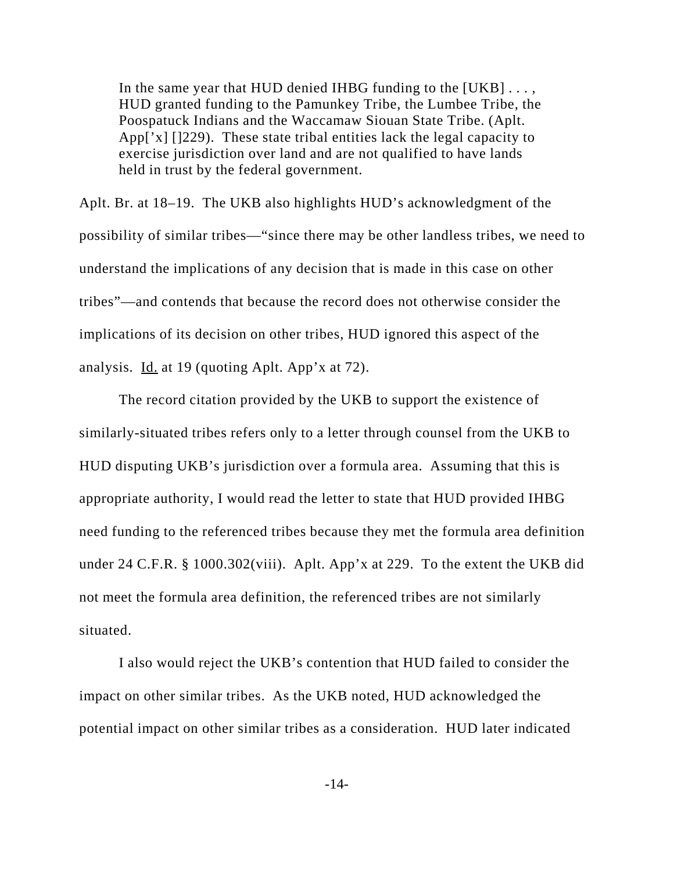In the same year that HUD denied IHBG funding to the  $[UKB] \ldots$ , HUD granted funding to the Pamunkey Tribe, the Lumbee Tribe, the Poospatuck Indians and the Waccamaw Siouan State Tribe. (Aplt. App['x] []229). These state tribal entities lack the legal capacity to exercise jurisdiction over land and are not qualified to have lands held in trust by the federal government.

Aplt. Br. at 18–19. The UKB also highlights HUD's acknowledgment of the possibility of similar tribes—"since there may be other landless tribes, we need to understand the implications of any decision that is made in this case on other tribes"—and contends that because the record does not otherwise consider the implications of its decision on other tribes, HUD ignored this aspect of the analysis. Id. at 19 (quoting Aplt. App'x at 72).

The record citation provided by the UKB to support the existence of similarly-situated tribes refers only to a letter through counsel from the UKB to HUD disputing UKB's jurisdiction over a formula area. Assuming that this is appropriate authority, I would read the letter to state that HUD provided IHBG need funding to the referenced tribes because they met the formula area definition under 24 C.F.R. § 1000.302(viii). Aplt. App'x at 229. To the extent the UKB did not meet the formula area definition, the referenced tribes are not similarly situated.

I also would reject the UKB's contention that HUD failed to consider the impact on other similar tribes. As the UKB noted, HUD acknowledged the potential impact on other similar tribes as a consideration. HUD later indicated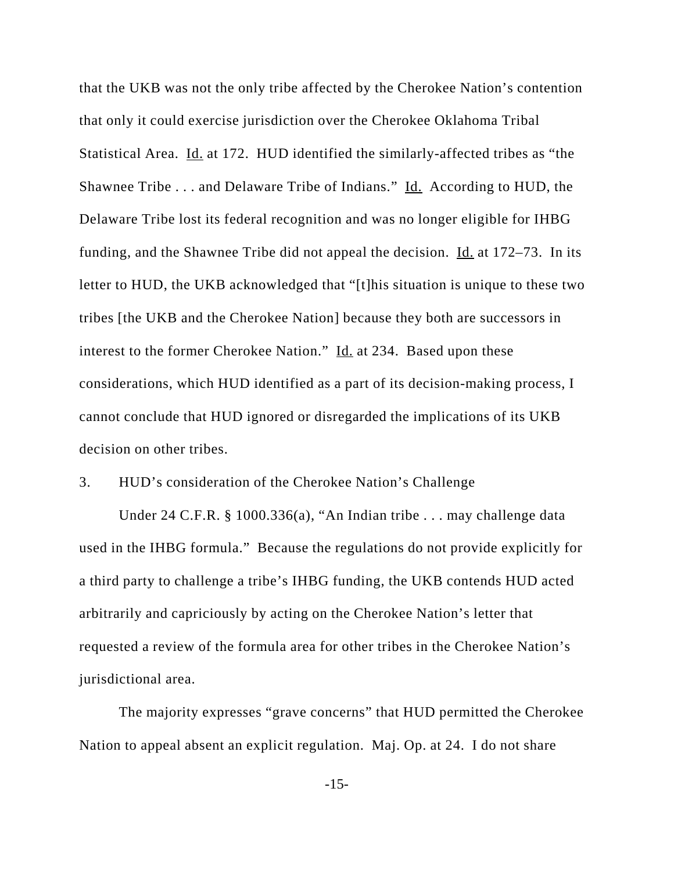that the UKB was not the only tribe affected by the Cherokee Nation's contention that only it could exercise jurisdiction over the Cherokee Oklahoma Tribal Statistical Area. Id. at 172. HUD identified the similarly-affected tribes as "the Shawnee Tribe . . . and Delaware Tribe of Indians." Id. According to HUD, the Delaware Tribe lost its federal recognition and was no longer eligible for IHBG funding, and the Shawnee Tribe did not appeal the decision.  $\underline{Id}$  at 172–73. In its letter to HUD, the UKB acknowledged that "[t]his situation is unique to these two tribes [the UKB and the Cherokee Nation] because they both are successors in interest to the former Cherokee Nation." Id. at 234. Based upon these considerations, which HUD identified as a part of its decision-making process, I cannot conclude that HUD ignored or disregarded the implications of its UKB decision on other tribes.

## 3. HUD's consideration of the Cherokee Nation's Challenge

Under 24 C.F.R. § 1000.336(a), "An Indian tribe . . . may challenge data used in the IHBG formula." Because the regulations do not provide explicitly for a third party to challenge a tribe's IHBG funding, the UKB contends HUD acted arbitrarily and capriciously by acting on the Cherokee Nation's letter that requested a review of the formula area for other tribes in the Cherokee Nation's jurisdictional area.

The majority expresses "grave concerns" that HUD permitted the Cherokee Nation to appeal absent an explicit regulation. Maj. Op. at 24. I do not share

-15-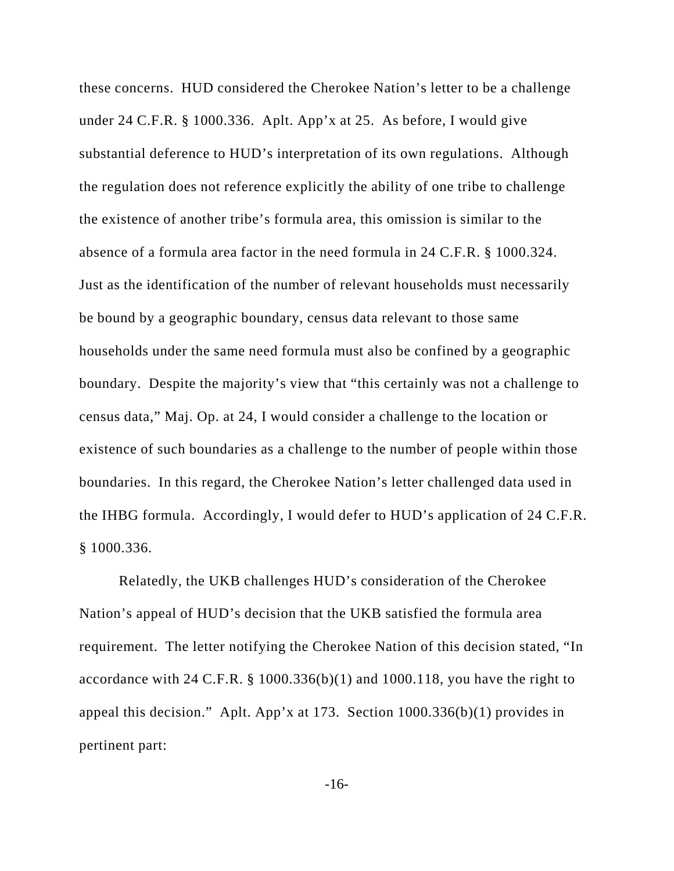these concerns. HUD considered the Cherokee Nation's letter to be a challenge under 24 C.F.R. § 1000.336. Aplt. App'x at 25. As before, I would give substantial deference to HUD's interpretation of its own regulations. Although the regulation does not reference explicitly the ability of one tribe to challenge the existence of another tribe's formula area, this omission is similar to the absence of a formula area factor in the need formula in 24 C.F.R. § 1000.324. Just as the identification of the number of relevant households must necessarily be bound by a geographic boundary, census data relevant to those same households under the same need formula must also be confined by a geographic boundary. Despite the majority's view that "this certainly was not a challenge to census data," Maj. Op. at 24, I would consider a challenge to the location or existence of such boundaries as a challenge to the number of people within those boundaries. In this regard, the Cherokee Nation's letter challenged data used in the IHBG formula. Accordingly, I would defer to HUD's application of 24 C.F.R. § 1000.336.

Relatedly, the UKB challenges HUD's consideration of the Cherokee Nation's appeal of HUD's decision that the UKB satisfied the formula area requirement. The letter notifying the Cherokee Nation of this decision stated, "In accordance with 24 C.F.R. § 1000.336(b)(1) and 1000.118, you have the right to appeal this decision." Aplt. App'x at 173. Section 1000.336(b)(1) provides in pertinent part:

-16-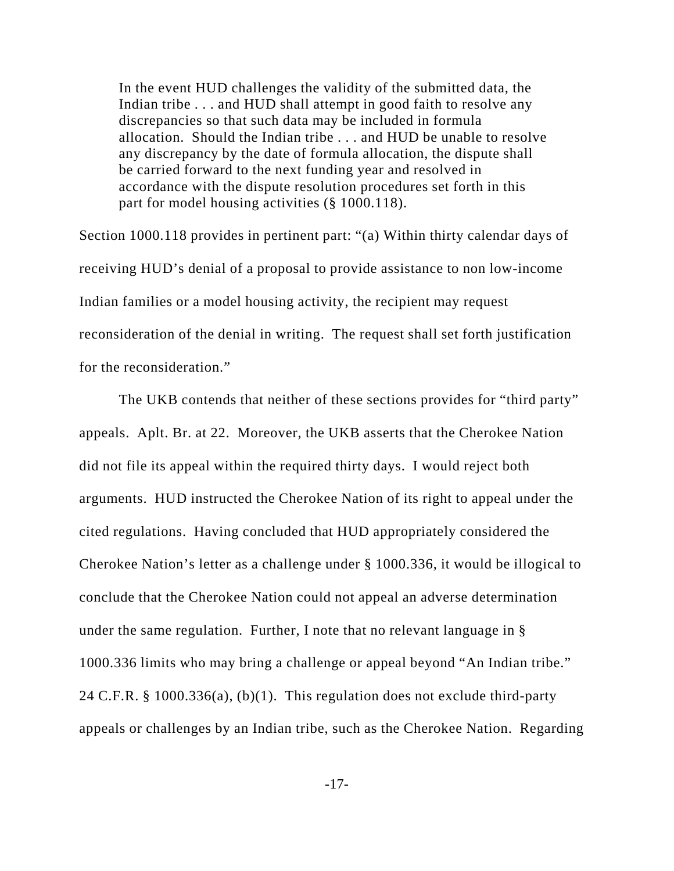In the event HUD challenges the validity of the submitted data, the Indian tribe . . . and HUD shall attempt in good faith to resolve any discrepancies so that such data may be included in formula allocation. Should the Indian tribe . . . and HUD be unable to resolve any discrepancy by the date of formula allocation, the dispute shall be carried forward to the next funding year and resolved in accordance with the dispute resolution procedures set forth in this part for model housing activities (§ 1000.118).

Section 1000.118 provides in pertinent part: "(a) Within thirty calendar days of receiving HUD's denial of a proposal to provide assistance to non low-income Indian families or a model housing activity, the recipient may request reconsideration of the denial in writing. The request shall set forth justification for the reconsideration."

The UKB contends that neither of these sections provides for "third party" appeals. Aplt. Br. at 22. Moreover, the UKB asserts that the Cherokee Nation did not file its appeal within the required thirty days. I would reject both arguments. HUD instructed the Cherokee Nation of its right to appeal under the cited regulations. Having concluded that HUD appropriately considered the Cherokee Nation's letter as a challenge under § 1000.336, it would be illogical to conclude that the Cherokee Nation could not appeal an adverse determination under the same regulation. Further, I note that no relevant language in § 1000.336 limits who may bring a challenge or appeal beyond "An Indian tribe." 24 C.F.R. § 1000.336(a), (b)(1). This regulation does not exclude third-party appeals or challenges by an Indian tribe, such as the Cherokee Nation. Regarding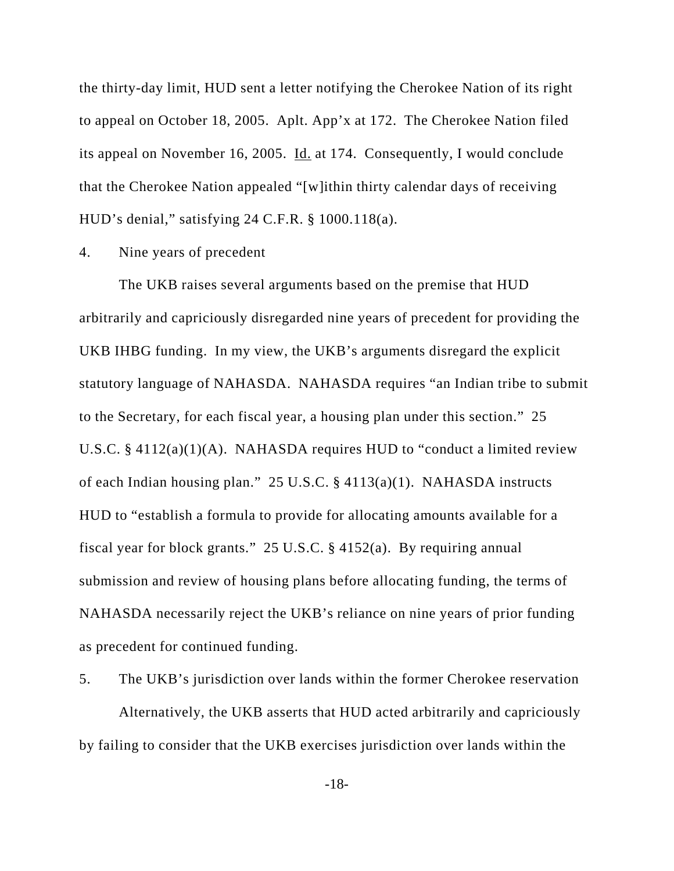the thirty-day limit, HUD sent a letter notifying the Cherokee Nation of its right to appeal on October 18, 2005. Aplt. App'x at 172. The Cherokee Nation filed its appeal on November 16, 2005. Id. at 174. Consequently, I would conclude that the Cherokee Nation appealed "[w]ithin thirty calendar days of receiving HUD's denial," satisfying 24 C.F.R. § 1000.118(a).

### 4. Nine years of precedent

The UKB raises several arguments based on the premise that HUD arbitrarily and capriciously disregarded nine years of precedent for providing the UKB IHBG funding. In my view, the UKB's arguments disregard the explicit statutory language of NAHASDA. NAHASDA requires "an Indian tribe to submit to the Secretary, for each fiscal year, a housing plan under this section." 25 U.S.C.  $\S$  4112(a)(1)(A). NAHASDA requires HUD to "conduct a limited review of each Indian housing plan." 25 U.S.C. § 4113(a)(1). NAHASDA instructs HUD to "establish a formula to provide for allocating amounts available for a fiscal year for block grants." 25 U.S.C. § 4152(a). By requiring annual submission and review of housing plans before allocating funding, the terms of NAHASDA necessarily reject the UKB's reliance on nine years of prior funding as precedent for continued funding.

5. The UKB's jurisdiction over lands within the former Cherokee reservation Alternatively, the UKB asserts that HUD acted arbitrarily and capriciously by failing to consider that the UKB exercises jurisdiction over lands within the

-18-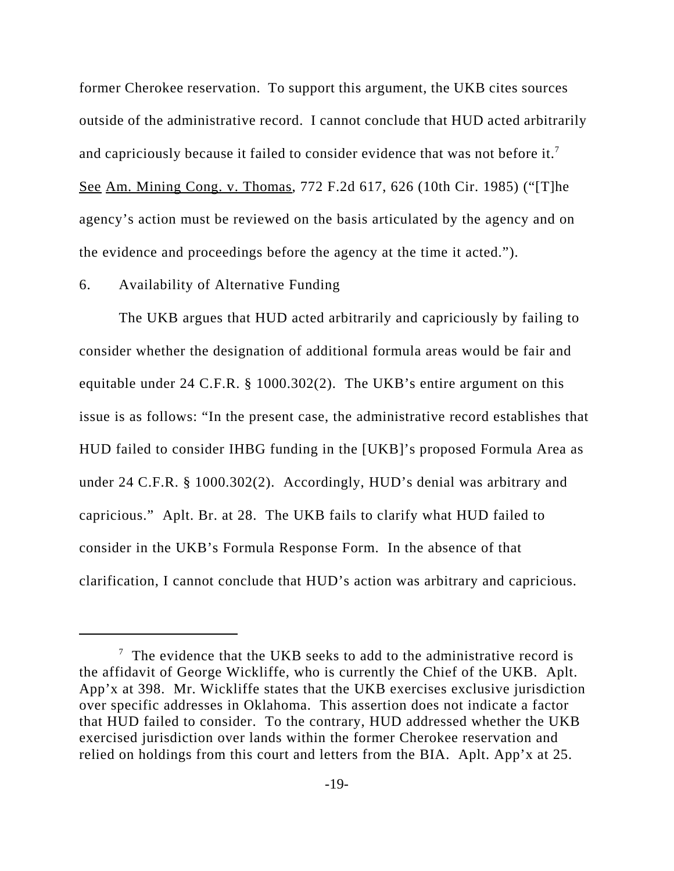former Cherokee reservation. To support this argument, the UKB cites sources outside of the administrative record. I cannot conclude that HUD acted arbitrarily and capriciously because it failed to consider evidence that was not before it.<sup>7</sup> See Am. Mining Cong. v. Thomas, 772 F.2d 617, 626 (10th Cir. 1985) ("[T]he agency's action must be reviewed on the basis articulated by the agency and on the evidence and proceedings before the agency at the time it acted.").

### 6. Availability of Alternative Funding

The UKB argues that HUD acted arbitrarily and capriciously by failing to consider whether the designation of additional formula areas would be fair and equitable under 24 C.F.R. § 1000.302(2). The UKB's entire argument on this issue is as follows: "In the present case, the administrative record establishes that HUD failed to consider IHBG funding in the [UKB]'s proposed Formula Area as under 24 C.F.R. § 1000.302(2). Accordingly, HUD's denial was arbitrary and capricious." Aplt. Br. at 28. The UKB fails to clarify what HUD failed to consider in the UKB's Formula Response Form. In the absence of that clarification, I cannot conclude that HUD's action was arbitrary and capricious.

 $7$  The evidence that the UKB seeks to add to the administrative record is the affidavit of George Wickliffe, who is currently the Chief of the UKB. Aplt. App'x at 398. Mr. Wickliffe states that the UKB exercises exclusive jurisdiction over specific addresses in Oklahoma. This assertion does not indicate a factor that HUD failed to consider. To the contrary, HUD addressed whether the UKB exercised jurisdiction over lands within the former Cherokee reservation and relied on holdings from this court and letters from the BIA. Aplt. App'x at 25.